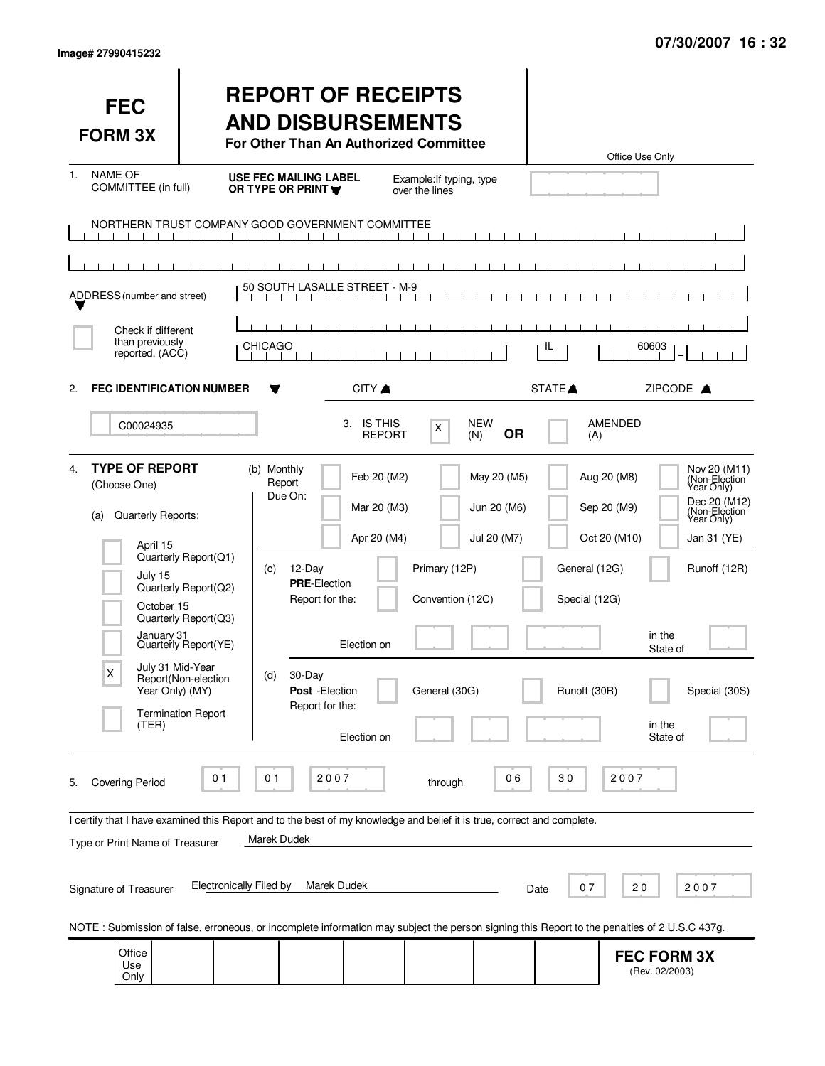|  | lmage# 27990415232 |  |
|--|--------------------|--|
|--|--------------------|--|

| <b>FEC</b><br><b>FORM 3X</b>                                                                                                                                                                                                                                                                                                                                 |                                                                                                                                                  | <b>REPORT OF RECEIPTS</b><br><b>AND DISBURSEMENTS</b><br>For Other Than An Authorized Committee                                                    |                                                                         |                                                    |                                           |                                                | Office Use Only                                                                        |                                                                                                                                            |
|--------------------------------------------------------------------------------------------------------------------------------------------------------------------------------------------------------------------------------------------------------------------------------------------------------------------------------------------------------------|--------------------------------------------------------------------------------------------------------------------------------------------------|----------------------------------------------------------------------------------------------------------------------------------------------------|-------------------------------------------------------------------------|----------------------------------------------------|-------------------------------------------|------------------------------------------------|----------------------------------------------------------------------------------------|--------------------------------------------------------------------------------------------------------------------------------------------|
| <b>NAME OF</b><br>1.<br>COMMITTEE (in full)                                                                                                                                                                                                                                                                                                                  |                                                                                                                                                  | <b>USE FEC MAILING LABEL</b><br>OR TYPE OR PRINT                                                                                                   |                                                                         | Example: If typing, type<br>over the lines         |                                           |                                                |                                                                                        |                                                                                                                                            |
| NORTHERN TRUST COMPANY GOOD GOVERNMENT COMMITTEE<br>ADDRESS (number and street)                                                                                                                                                                                                                                                                              | $\blacksquare$<br>$\blacksquare$                                                                                                                 | $\blacksquare$<br>50 SOUTH LASALLE STREET - M-9                                                                                                    | $\mathbf{1}$ $\mathbf{1}$                                               |                                                    |                                           |                                                |                                                                                        |                                                                                                                                            |
| Check if different<br>than previously<br>reported. (ACC)                                                                                                                                                                                                                                                                                                     |                                                                                                                                                  | <b>CHICAGO</b>                                                                                                                                     |                                                                         |                                                    |                                           | IL                                             | 60603                                                                                  |                                                                                                                                            |
| <b>FEC IDENTIFICATION NUMBER</b><br>2.<br>C00024935                                                                                                                                                                                                                                                                                                          |                                                                                                                                                  | Y                                                                                                                                                  | CITY A<br>3. IS THIS<br><b>REPORT</b>                                   | X                                                  | <b>NEW</b><br><b>OR</b><br>(N)            | STATE <sup>A</sup><br>(A)                      | <b>AMENDED</b>                                                                         | ZIPCODE A                                                                                                                                  |
| <b>TYPE OF REPORT</b><br>4.<br>(Choose One)<br>Quarterly Reports:<br>(a)<br>April 15<br>July 15<br>October 15<br>January 31<br>July 31 Mid-Year<br>X<br>Year Only) (MY)<br>(TER)                                                                                                                                                                             | Quarterly Report(Q1)<br>Quarterly Report(Q2)<br>Quarterly Report(Q3)<br>Quarterly Report(YE)<br>Report(Non-election<br><b>Termination Report</b> | (b) Monthly<br>Report<br>Due On:<br>12-Day<br>(c)<br><b>PRE-Election</b><br>Report for the:<br>30-Day<br>(d)<br>Post - Election<br>Report for the: | Feb 20 (M2)<br>Mar 20 (M3)<br>Apr 20 (M4)<br>Election on<br>Election on | Primary (12P)<br>Convention (12C)<br>General (30G) | May 20 (M5)<br>Jun 20 (M6)<br>Jul 20 (M7) | General (12G)<br>Special (12G)<br>Runoff (30R) | Aug 20 (M8)<br>Sep 20 (M9)<br>Oct 20 (M10)<br>in the<br>State of<br>in the<br>State of | Nov 20 (M11)<br>(Non-Election<br>Year Only)<br>Dec 20 (M12)<br>(Non-Election<br>Year Only)<br>Jan 31 (YE)<br>Runoff (12R)<br>Special (30S) |
| 2007<br>2007<br>01<br>01<br>06<br>30<br><b>Covering Period</b><br>through<br>5.<br>I certify that I have examined this Report and to the best of my knowledge and belief it is true, correct and complete.<br>Marek Dudek<br>Type or Print Name of Treasurer<br>Electronically Filed by<br>Marek Dudek<br>07<br>20<br>2007<br>Signature of Treasurer<br>Date |                                                                                                                                                  |                                                                                                                                                    |                                                                         |                                                    |                                           |                                                |                                                                                        |                                                                                                                                            |
| NOTE: Submission of false, erroneous, or incomplete information may subject the person signing this Report to the penalties of 2 U.S.C 437g.<br>Office<br>Use<br>Only                                                                                                                                                                                        |                                                                                                                                                  |                                                                                                                                                    |                                                                         |                                                    |                                           |                                                | <b>FEC FORM 3X</b><br>(Rev. 02/2003)                                                   |                                                                                                                                            |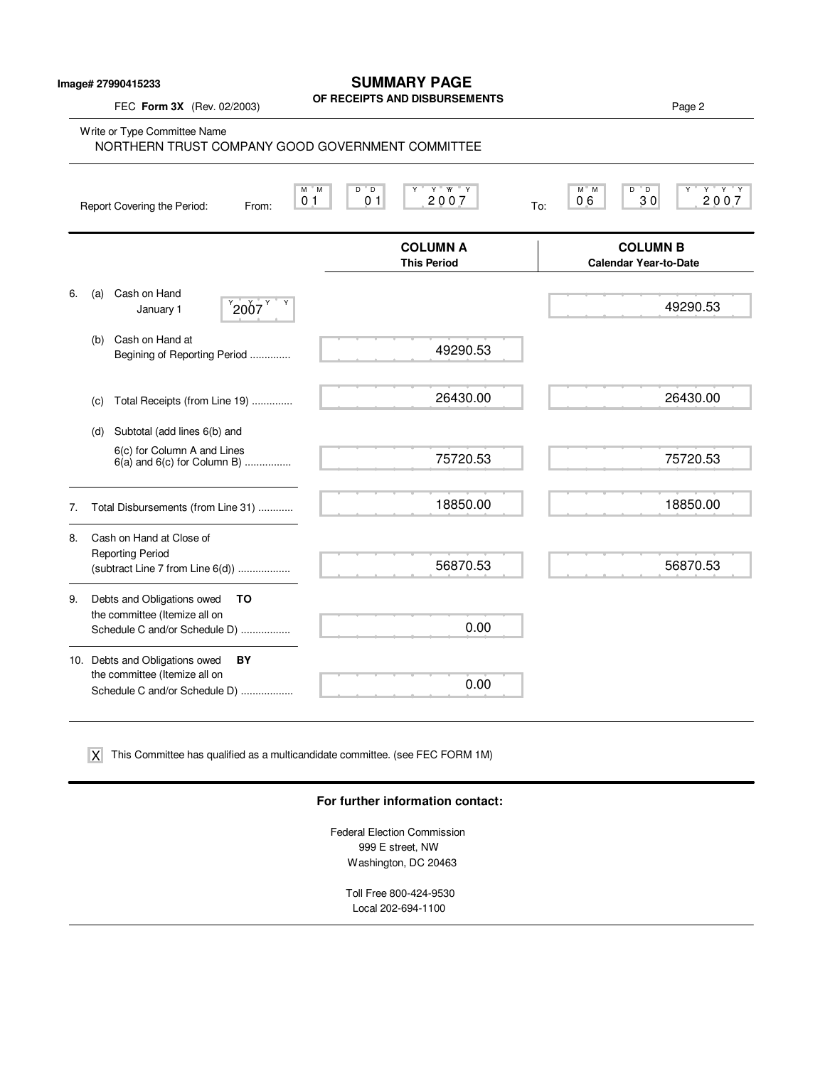#### **Image# 27990415233**

## **SUMMARY PAGE**

## **OF RECEIPTS AND DISBURSEMENTS** FEC **Form 3X** (Rev. 02/2003) Page 2 Write or Type Committee Name M M D D Y Y YY Y M M D D Y Y Y Y Report Covering the Period: From: 0.1 0.1 2007 To: **COLUMN A COLUMN B This Period Calendar Year-to-Date** 6. (a) Cash on Hand January 1  $\left| \right|$  2007 (b) Cash on Hand at Begining of Reporting Period .............. (c) Total Receipts (from Line 19) .............. (d) Subtotal (add lines 6(b) and 6(c) for Column A and Lines  $6(a)$  and  $6(c)$  for Column B) ................. 7. Total Disbursements (from Line 31) ............ 8. Cash on Hand at Close of Reporting Period (subtract Line 7 from Line 6(d)) .................. 9. Debts and Obligations owed **TO** the committee (Itemize all on Schedule C and/or Schedule D) ................. 10. Debts and Obligations owed **BY** the committee (Itemize all on Schedule C and/or Schedule D) ................. 0 1 0 1 2 0 0 7 0 6 3 0 2 0 0 7 NORTHERN TRUST COMPANY GOOD GOVERNMENT COMMITTEE 49290.53 26430.00 75720.53 18850.00 56870.53 0.00 0.00  $2007$   $49290.53$ 26430.00 75720.53 18850.00 56870.53

This Committee has qualified as a multicandidate committee. (see FEC FORM 1M) X

### **For further information contact:**

Federal Election Commission 999 E street, NW Washington, DC 20463

> Toll Free 800-424-9530 Local 202-694-1100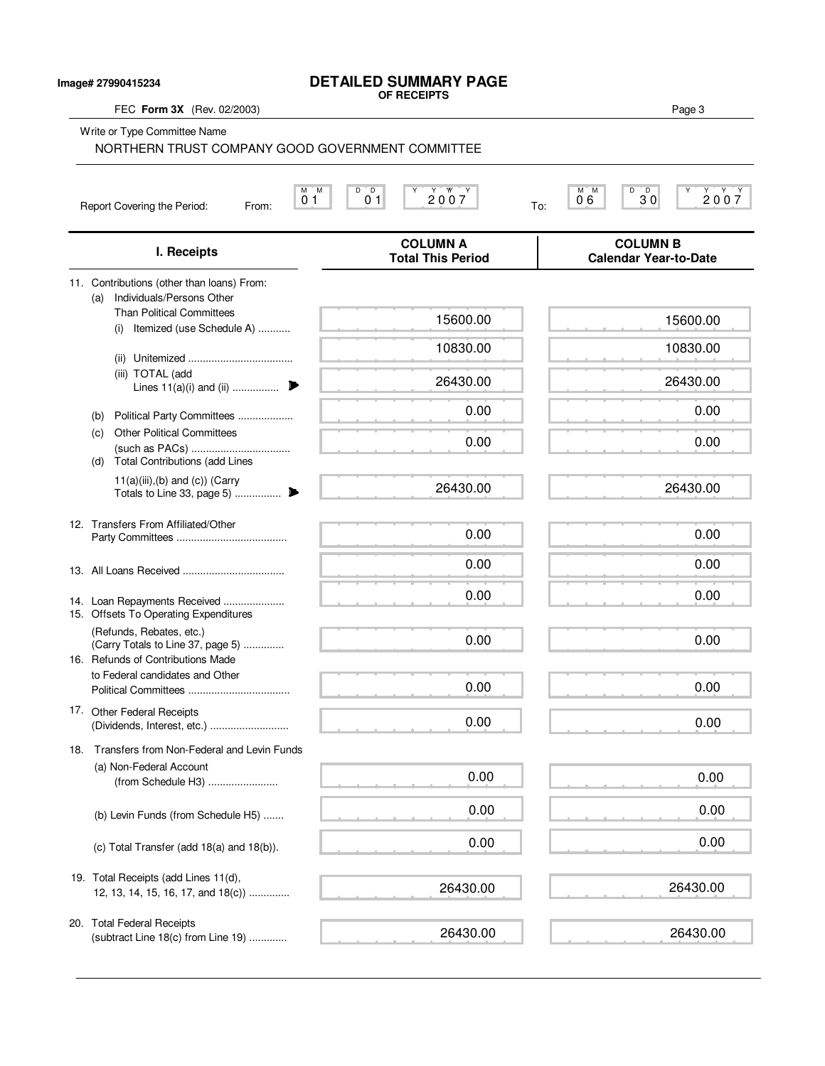## **DETAILED SUMMARY PAGE**

**Image# 27990415234**

| FEC Form 3X (Rev. 02/2003)                                                                         | OF RECEIPTS                                 | Page 3                                             |
|----------------------------------------------------------------------------------------------------|---------------------------------------------|----------------------------------------------------|
| Write or Type Committee Name<br>NORTHERN TRUST COMPANY GOOD GOVERNMENT COMMITTEE                   |                                             |                                                    |
| М<br>M<br>0 <sub>1</sub><br>Report Covering the Period:<br>From:                                   | $D^{\circ}D$<br>2007<br>Υ<br>0 <sub>1</sub> | M M<br>D<br>$30^{\circ}$<br>Υ<br>2007<br>06<br>To: |
| I. Receipts                                                                                        | <b>COLUMN A</b><br><b>Total This Period</b> | <b>COLUMN B</b><br><b>Calendar Year-to-Date</b>    |
| 11. Contributions (other than loans) From:<br>Individuals/Persons Other                            |                                             |                                                    |
| (a)<br><b>Than Political Committees</b><br>Itemized (use Schedule A)<br>(i)                        | 15600.00                                    | 15600.00                                           |
| (ii)                                                                                               | 10830.00                                    | 10830.00                                           |
| (iii) TOTAL (add<br>Lines $11(a)(i)$ and (ii)                                                      | 26430.00                                    | 26430.00                                           |
| Political Party Committees<br>(b)                                                                  | 0.00                                        | 0.00                                               |
| <b>Other Political Committees</b><br>(c)<br><b>Total Contributions (add Lines</b><br>(d)           | 0.00                                        | 0.00                                               |
| $11(a)(iii),(b)$ and $(c)$ ) (Carry                                                                | 26430.00                                    | 26430.00                                           |
| 12. Transfers From Affiliated/Other                                                                | 0.00                                        | 0.00                                               |
|                                                                                                    | 0.00                                        | 0.00                                               |
| 14. Loan Repayments Received<br>15. Offsets To Operating Expenditures                              | 0.00                                        | 0.00                                               |
| (Refunds, Rebates, etc.)<br>(Carry Totals to Line 37, page 5)<br>16. Refunds of Contributions Made | 0.00                                        | 0.00                                               |
| to Federal candidates and Other                                                                    | 0.00                                        | 0.00                                               |
| 17. Other Federal Receipts                                                                         | 0.00                                        | 0.00                                               |
| 18. Transfers from Non-Federal and Levin Funds                                                     |                                             |                                                    |
| (a) Non-Federal Account<br>(from Schedule H3)                                                      | 0.00                                        | 0.00                                               |
| (b) Levin Funds (from Schedule H5)                                                                 | 0.00                                        | 0.00                                               |
| (c) Total Transfer (add 18(a) and 18(b)).                                                          | 0.00                                        | 0.00                                               |
| 19. Total Receipts (add Lines 11(d),<br>12, 13, 14, 15, 16, 17, and 18(c))                         | 26430.00                                    | 26430.00                                           |
| 20. Total Federal Receipts<br>(subtract Line 18(c) from Line 19)                                   | 26430.00                                    | 26430.00                                           |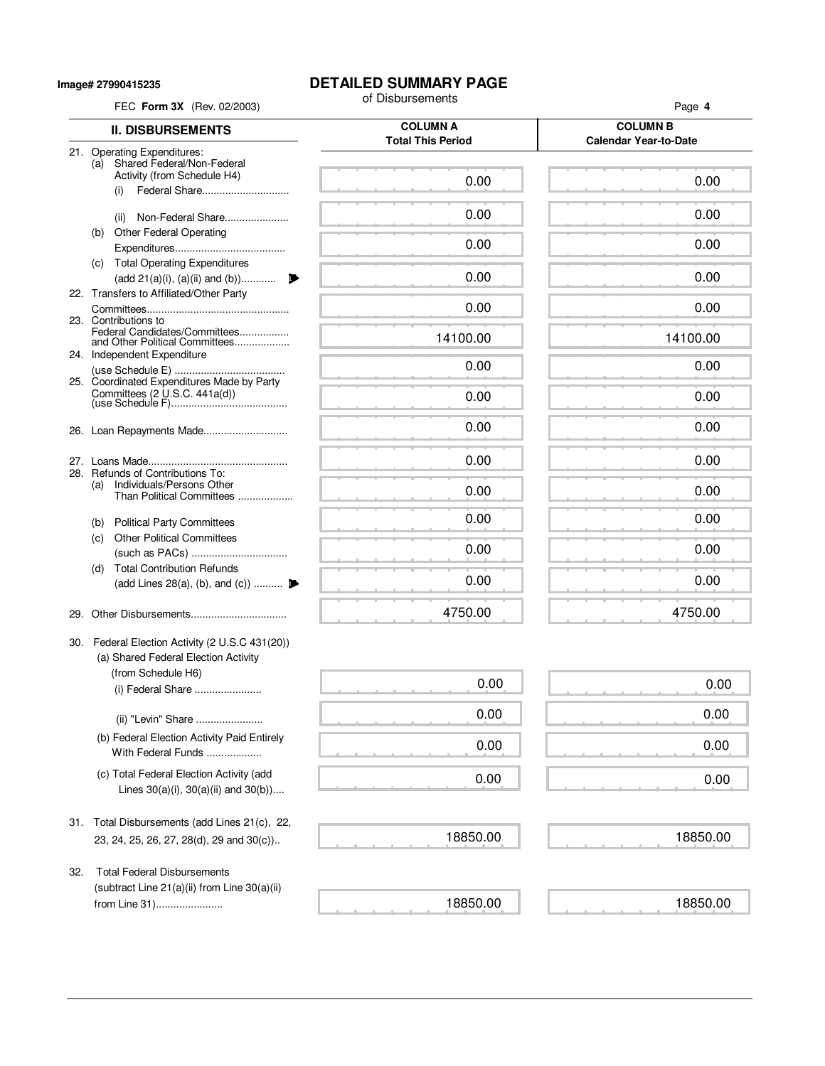**Image# 27990415235**

# **DETAILED SUMMARY PAGE**<br>of Disbursements

|     | FEC Form 3X (Rev. 02/2003)                                       | of Disbursements                            | Page 4                                          |
|-----|------------------------------------------------------------------|---------------------------------------------|-------------------------------------------------|
|     | <b>II. DISBURSEMENTS</b>                                         | <b>COLUMN A</b><br><b>Total This Period</b> | <b>COLUMN B</b><br><b>Calendar Year-to-Date</b> |
|     | 21. Operating Expenditures:                                      |                                             |                                                 |
|     | Shared Federal/Non-Federal<br>(a)<br>Activity (from Schedule H4) |                                             |                                                 |
|     | Federal Share<br>(i)                                             | 0.00                                        | 0.00                                            |
|     | Non-Federal Share<br>(ii)                                        | 0.00                                        | 0.00                                            |
|     | <b>Other Federal Operating</b><br>(b)                            |                                             |                                                 |
|     |                                                                  | 0.00                                        | 0.00                                            |
|     | (c) Total Operating Expenditures                                 |                                             |                                                 |
|     | (add 21(a)(i), (a)(ii) and (b))                                  | 0.00                                        | 0.00                                            |
|     | 22. Transfers to Affiliated/Other Party                          | 0.00                                        | 0.00                                            |
|     | 23. Contributions to                                             |                                             |                                                 |
|     | Federal Candidates/Committees<br>and Other Political Committees  | 14100.00                                    | 14100.00                                        |
|     | 24. Independent Expenditure                                      |                                             |                                                 |
|     | 25. Coordinated Expenditures Made by Party                       | 0.00                                        | 0.00                                            |
|     | Committees (2 U.S.C. 441a(d))                                    | 0.00                                        | 0.00                                            |
|     |                                                                  |                                             |                                                 |
|     |                                                                  | 0.00                                        | 0.00                                            |
|     |                                                                  |                                             |                                                 |
|     | 28. Refunds of Contributions To:                                 | 0.00                                        | 0.00                                            |
|     | Individuals/Persons Other<br>(a)<br>Than Political Committees    | 0.00                                        | 0.00                                            |
|     |                                                                  |                                             |                                                 |
|     | (b) Political Party Committees                                   | 0.00                                        | 0.00                                            |
|     | <b>Other Political Committees</b><br>(c)                         | 0.00                                        | 0.00                                            |
|     | <b>Total Contribution Refunds</b><br>(d)                         |                                             |                                                 |
|     | (add Lines 28(a), (b), and (c))                                  | 0.00                                        | 0.00                                            |
|     |                                                                  |                                             |                                                 |
| 29. |                                                                  | 4750.00                                     | 4750.00                                         |
|     | 30. Federal Election Activity (2 U.S.C 431(20))                  |                                             |                                                 |
|     | (a) Shared Federal Election Activity                             |                                             |                                                 |
|     | (from Schedule H6)                                               | 0.00                                        | 0.00                                            |
|     | (i) Federal Share                                                |                                             |                                                 |
|     | (ii) "Levin" Share                                               | 0.00                                        | 0.00                                            |
|     | (b) Federal Election Activity Paid Entirely                      |                                             |                                                 |
|     | With Federal Funds                                               | 0.00                                        | 0.00                                            |
|     | (c) Total Federal Election Activity (add                         | 0.00                                        | 0.00                                            |
|     | Lines $30(a)(i)$ , $30(a)(ii)$ and $30(b)$ )                     |                                             |                                                 |
|     |                                                                  |                                             |                                                 |
|     | 31. Total Disbursements (add Lines 21(c), 22,                    | 18850.00                                    | 18850.00                                        |
|     | 23, 24, 25, 26, 27, 28(d), 29 and 30(c))                         |                                             |                                                 |
| 32. | <b>Total Federal Disbursements</b>                               |                                             |                                                 |
|     | (subtract Line 21(a)(ii) from Line 30(a)(ii)                     |                                             |                                                 |
|     | from Line 31)                                                    | 18850.00                                    | 18850.00                                        |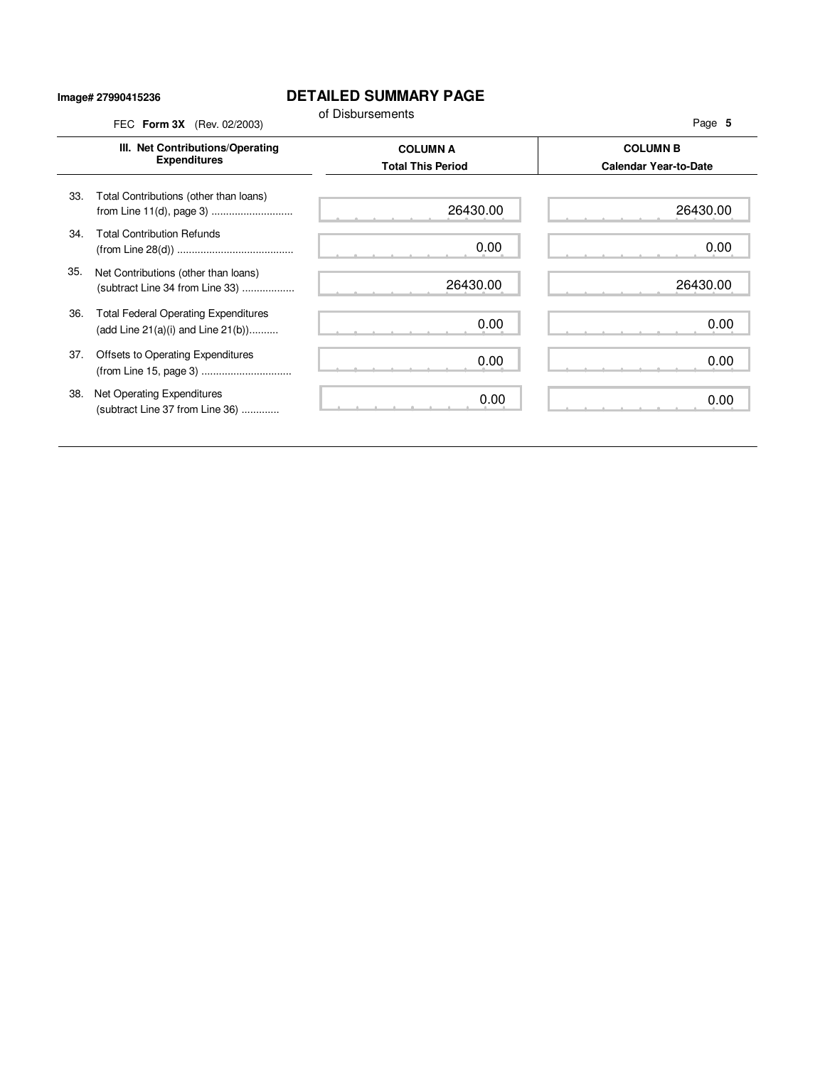#### **Image# 27990415236**

## **DETAILED SUMMARY PAGE**

|     | III. Net Contributions/Operating<br><b>Expenditures</b>                                | <b>COLUMN A</b><br><b>Total This Period</b> | <b>COLUMN B</b><br><b>Calendar Year-to-Date</b> |
|-----|----------------------------------------------------------------------------------------|---------------------------------------------|-------------------------------------------------|
| 33. | Total Contributions (other than loans)                                                 | 26430.00                                    | 26430.00                                        |
| 34. | <b>Total Contribution Refunds</b>                                                      | 0.00                                        | 0.00                                            |
| 35. | Net Contributions (other than loans)<br>(subtract Line 34 from Line 33)                | 26430.00                                    | 26430.00                                        |
| 36. | <b>Total Federal Operating Expenditures</b><br>(add Line $21(a)(i)$ and Line $21(b)$ ) | 0.00                                        | 0.00                                            |
| 37. | Offsets to Operating Expenditures                                                      | 0.00                                        | 0.00                                            |
| 38. | Net Operating Expenditures<br>(subtract Line 37 from Line 36)                          | 0.00                                        | 0.00                                            |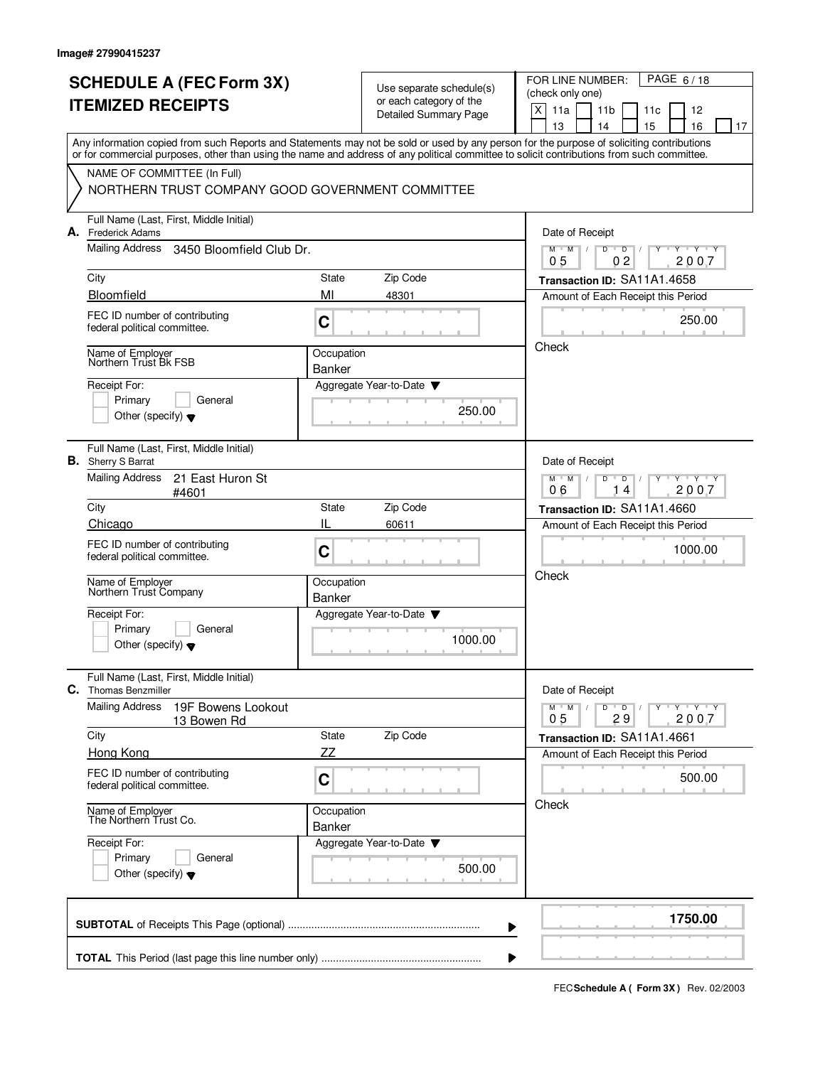| <b>SCHEDULE A (FEC Form 3X)</b><br><b>ITEMIZED RECEIPTS</b>                                                                                                                                                                                                                             |                             | Use separate schedule(s)<br>or each category of the<br><b>Detailed Summary Page</b> | PAGE 6/18<br>FOR LINE NUMBER:<br>(check only one)<br>X<br>11a<br>11 <sub>b</sub><br>12<br>11c<br>13<br>14<br>15<br>16<br>17 |
|-----------------------------------------------------------------------------------------------------------------------------------------------------------------------------------------------------------------------------------------------------------------------------------------|-----------------------------|-------------------------------------------------------------------------------------|-----------------------------------------------------------------------------------------------------------------------------|
| Any information copied from such Reports and Statements may not be sold or used by any person for the purpose of soliciting contributions<br>or for commercial purposes, other than using the name and address of any political committee to solicit contributions from such committee. |                             |                                                                                     |                                                                                                                             |
| NAME OF COMMITTEE (In Full)<br>NORTHERN TRUST COMPANY GOOD GOVERNMENT COMMITTEE                                                                                                                                                                                                         |                             |                                                                                     |                                                                                                                             |
| Full Name (Last, First, Middle Initial)<br>A. Frederick Adams                                                                                                                                                                                                                           |                             |                                                                                     | Date of Receipt                                                                                                             |
| Mailing Address<br>3450 Bloomfield Club Dr.                                                                                                                                                                                                                                             |                             |                                                                                     | $M$ $M$<br>D<br>Y Y Y Y<br>$\overline{D}$<br>0 <sub>5</sub><br>0 <sub>2</sub><br>2007                                       |
| City<br>Bloomfield                                                                                                                                                                                                                                                                      | State<br>MI                 | Zip Code<br>48301                                                                   | Transaction ID: SA11A1.4658<br>Amount of Each Receipt this Period                                                           |
| FEC ID number of contributing<br>federal political committee.                                                                                                                                                                                                                           | C                           |                                                                                     | 250.00                                                                                                                      |
| Name of Employer<br>Northern Trust Bk FSB                                                                                                                                                                                                                                               | Occupation<br>Banker        |                                                                                     | Check                                                                                                                       |
| Receipt For:<br>Primary<br>General<br>Other (specify) $\blacktriangledown$                                                                                                                                                                                                              |                             | Aggregate Year-to-Date<br>250.00                                                    |                                                                                                                             |
| Full Name (Last, First, Middle Initial)<br><b>B.</b> Sherry S Barrat                                                                                                                                                                                                                    |                             |                                                                                     | Date of Receipt                                                                                                             |
| <b>Mailing Address</b><br>21 East Huron St<br>#4601                                                                                                                                                                                                                                     |                             |                                                                                     | $Y + Y + Y$<br>$M$ <sup><math>+</math></sup><br>M<br>D<br>D<br>06<br>14<br>2007                                             |
| City<br>Chicago                                                                                                                                                                                                                                                                         | State<br>IL                 | Zip Code                                                                            | Transaction ID: SA11A1.4660                                                                                                 |
| FEC ID number of contributing<br>federal political committee.                                                                                                                                                                                                                           | C                           | 60611                                                                               | Amount of Each Receipt this Period<br>1000.00                                                                               |
| Name of Employer<br>Northern Trust Company                                                                                                                                                                                                                                              | Occupation<br><b>Banker</b> |                                                                                     | Check                                                                                                                       |
| Receipt For:<br>Primary<br>General<br>Other (specify) $\blacktriangledown$                                                                                                                                                                                                              |                             | Aggregate Year-to-Date<br>1000.00                                                   |                                                                                                                             |
| Full Name (Last, First, Middle Initial)<br>C. Thomas Benzmiller                                                                                                                                                                                                                         |                             |                                                                                     | Date of Receipt                                                                                                             |
| <b>Mailing Address</b><br>19F Bowens Lookout<br>13 Bowen Rd                                                                                                                                                                                                                             |                             |                                                                                     | $Y - Y - Y - Y$<br>$M$ M<br>D<br>$\overline{D}$<br>29<br>2007<br>0 <sub>5</sub>                                             |
| City<br>Hong Kong                                                                                                                                                                                                                                                                       | State<br>ZZ                 | Zip Code                                                                            | Transaction ID: SA11A1.4661<br>Amount of Each Receipt this Period                                                           |
| FEC ID number of contributing<br>federal political committee.                                                                                                                                                                                                                           | C                           |                                                                                     | 500.00                                                                                                                      |
| Name of Employer<br>The Northern Trust Co.                                                                                                                                                                                                                                              | Occupation<br>Banker        |                                                                                     | Check                                                                                                                       |
| Receipt For:<br>Primary<br>General<br>Other (specify) $\blacktriangledown$                                                                                                                                                                                                              |                             | Aggregate Year-to-Date<br>500.00                                                    |                                                                                                                             |
|                                                                                                                                                                                                                                                                                         |                             |                                                                                     | 1750.00                                                                                                                     |

 $\blacktriangleright$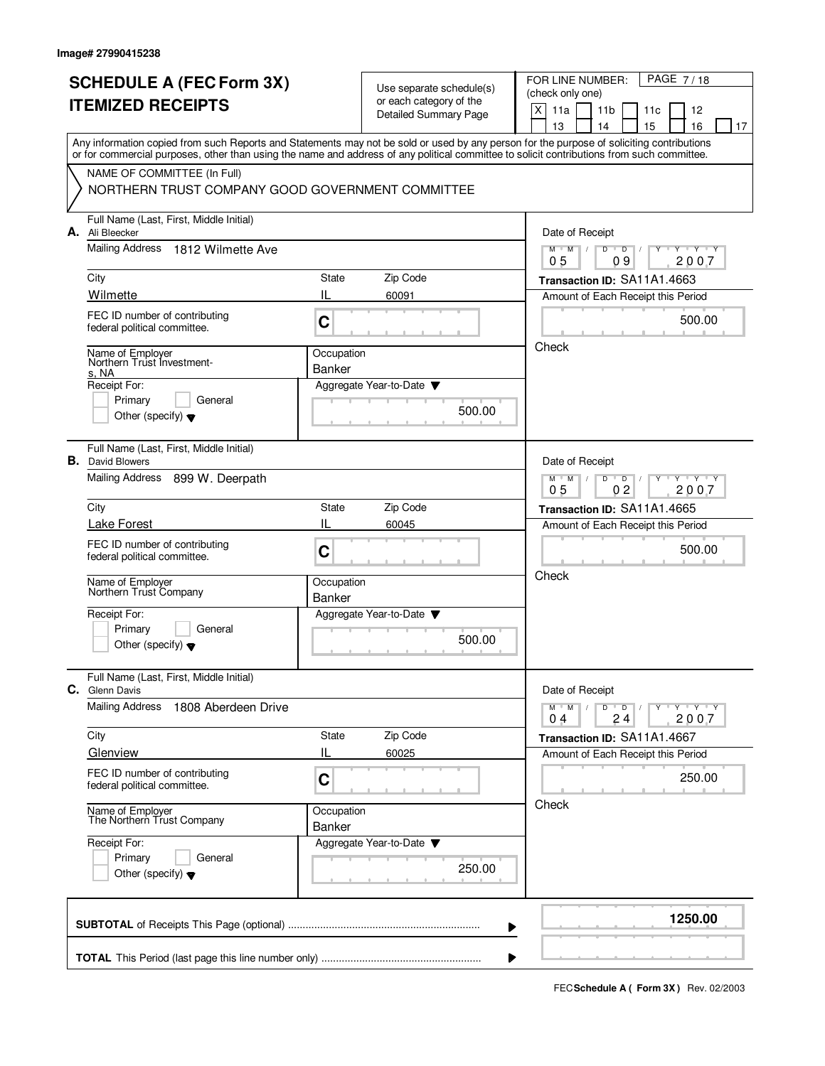|    | <b>SCHEDULE A (FEC Form 3X)</b><br><b>ITEMIZED RECEIPTS</b>                                                                                                                                                                                                                             |                             | Use separate schedule(s)<br>or each category of the<br>Detailed Summary Page | PAGE 7/18<br>FOR LINE NUMBER:<br>(check only one)<br>X<br>11a<br>11 <sub>b</sub><br>11c<br>12<br>15<br>13<br>14<br>16<br>17 |
|----|-----------------------------------------------------------------------------------------------------------------------------------------------------------------------------------------------------------------------------------------------------------------------------------------|-----------------------------|------------------------------------------------------------------------------|-----------------------------------------------------------------------------------------------------------------------------|
|    | Any information copied from such Reports and Statements may not be sold or used by any person for the purpose of soliciting contributions<br>or for commercial purposes, other than using the name and address of any political committee to solicit contributions from such committee. |                             |                                                                              |                                                                                                                             |
|    | NAME OF COMMITTEE (In Full)<br>NORTHERN TRUST COMPANY GOOD GOVERNMENT COMMITTEE                                                                                                                                                                                                         |                             |                                                                              |                                                                                                                             |
|    | Full Name (Last, First, Middle Initial)<br>A. Ali Bleecker                                                                                                                                                                                                                              |                             |                                                                              | Date of Receipt                                                                                                             |
|    | Mailing Address<br>1812 Wilmette Ave                                                                                                                                                                                                                                                    |                             |                                                                              | $M$ /<br>D<br>$Y$ $Y$<br>M<br>D<br>0 <sub>5</sub><br>09<br>2007                                                             |
|    | City                                                                                                                                                                                                                                                                                    | <b>State</b>                | Zip Code                                                                     | Transaction ID: SA11A1.4663                                                                                                 |
|    | Wilmette<br>FEC ID number of contributing                                                                                                                                                                                                                                               | IL<br>C                     | 60091                                                                        | Amount of Each Receipt this Period<br>500.00                                                                                |
|    | federal political committee.                                                                                                                                                                                                                                                            |                             |                                                                              | Check                                                                                                                       |
|    | Name of Employer<br>Northern Trust Investment-<br>s, NA                                                                                                                                                                                                                                 | Occupation<br>Banker        |                                                                              |                                                                                                                             |
|    | Receipt For:<br>Primary<br>General<br>Other (specify) $\blacktriangledown$                                                                                                                                                                                                              |                             | Aggregate Year-to-Date<br>500.00                                             |                                                                                                                             |
|    | Full Name (Last, First, Middle Initial)<br><b>B.</b> David Blowers                                                                                                                                                                                                                      |                             |                                                                              | Date of Receipt                                                                                                             |
|    | Mailing Address<br>899 W. Deerpath                                                                                                                                                                                                                                                      |                             |                                                                              | $Y - Y - Y$<br>M<br>D<br>D<br>M<br>0 <sub>2</sub><br>05<br>2007                                                             |
|    | City                                                                                                                                                                                                                                                                                    | State                       | Zip Code                                                                     | Transaction ID: SA11A1.4665                                                                                                 |
|    | <b>Lake Forest</b>                                                                                                                                                                                                                                                                      | IL                          | 60045                                                                        | Amount of Each Receipt this Period                                                                                          |
|    | FEC ID number of contributing<br>federal political committee.                                                                                                                                                                                                                           | C                           |                                                                              | 500.00<br>Check                                                                                                             |
|    | Name of Employer<br>Northern Trust Company                                                                                                                                                                                                                                              | Occupation<br><b>Banker</b> |                                                                              |                                                                                                                             |
|    | Receipt For:                                                                                                                                                                                                                                                                            |                             | Aggregate Year-to-Date                                                       |                                                                                                                             |
|    | Primary<br>General<br>Other (specify) $\bullet$                                                                                                                                                                                                                                         |                             | 500.00                                                                       |                                                                                                                             |
| C. | Full Name (Last, First, Middle Initial)<br><b>Glenn Davis</b>                                                                                                                                                                                                                           |                             |                                                                              | Date of Receipt                                                                                                             |
|    | <b>Mailing Address</b><br>1808 Aberdeen Drive                                                                                                                                                                                                                                           |                             |                                                                              | $Y + Y + Y$<br>$M^+M^-$<br>D<br>$\overline{D}$<br>$\sqrt{2}$<br>24<br>2007<br>04                                            |
|    | City                                                                                                                                                                                                                                                                                    | State                       | Zip Code                                                                     | Transaction ID: SA11A1.4667                                                                                                 |
|    | Glenview                                                                                                                                                                                                                                                                                | IL                          | 60025                                                                        | Amount of Each Receipt this Period                                                                                          |
|    | FEC ID number of contributing<br>federal political committee.                                                                                                                                                                                                                           | C                           |                                                                              | 250.00                                                                                                                      |
|    | Name of Employer<br>The Northern Trust Company                                                                                                                                                                                                                                          | Occupation<br>Banker        |                                                                              | Check                                                                                                                       |
|    | Receipt For:<br>Primary<br>General<br>Other (specify) $\blacktriangledown$                                                                                                                                                                                                              |                             | Aggregate Year-to-Date ▼<br>250.00                                           |                                                                                                                             |
|    |                                                                                                                                                                                                                                                                                         |                             |                                                                              | 1250.00                                                                                                                     |

**FECSchedule A ( Form 3X)** Rev. 02/2003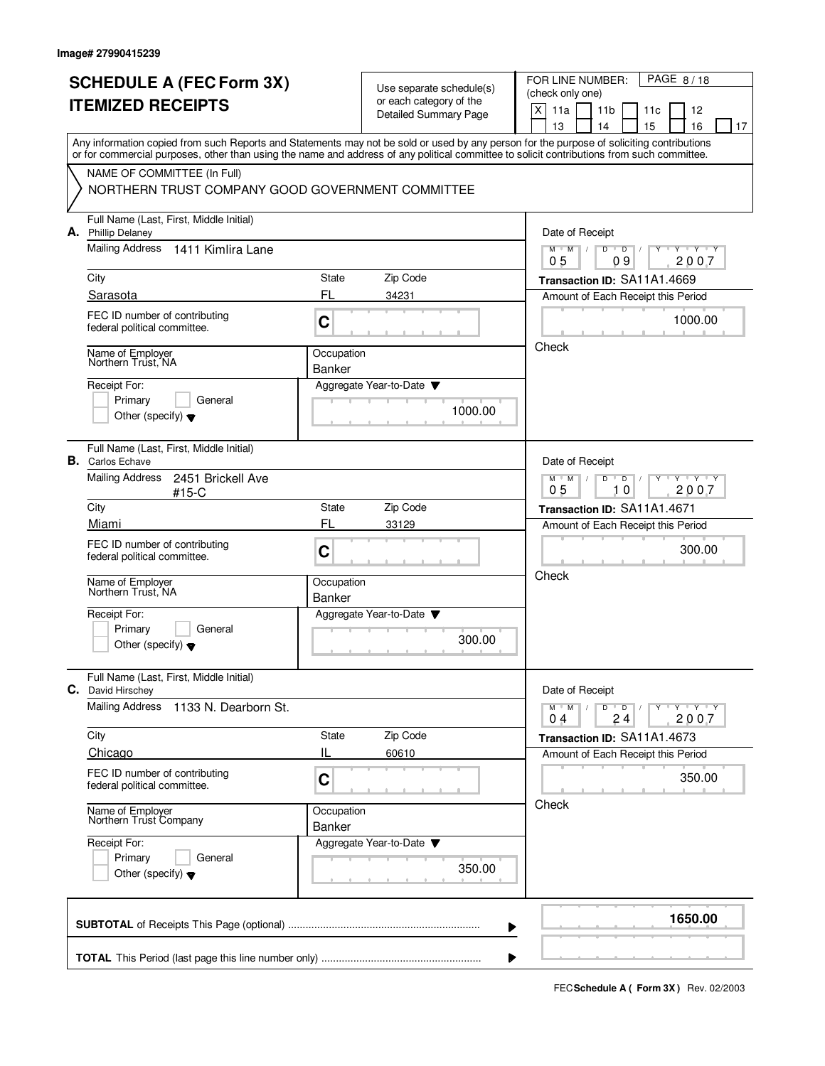|    | <b>SCHEDULE A (FEC Form 3X)</b><br><b>ITEMIZED RECEIPTS</b>                                                                                                                                                                                                                             |                                                                                             | Use separate schedule(s)<br>or each category of the<br><b>Detailed Summary Page</b> | PAGE 8/18<br>FOR LINE NUMBER:<br>(check only one)<br>$\mathsf X$<br>11a<br>11 <sub>b</sub><br>12<br>11c<br>13<br>14<br>15<br>16<br>17 |
|----|-----------------------------------------------------------------------------------------------------------------------------------------------------------------------------------------------------------------------------------------------------------------------------------------|---------------------------------------------------------------------------------------------|-------------------------------------------------------------------------------------|---------------------------------------------------------------------------------------------------------------------------------------|
|    | Any information copied from such Reports and Statements may not be sold or used by any person for the purpose of soliciting contributions<br>or for commercial purposes, other than using the name and address of any political committee to solicit contributions from such committee. |                                                                                             |                                                                                     |                                                                                                                                       |
|    | NAME OF COMMITTEE (In Full)<br>NORTHERN TRUST COMPANY GOOD GOVERNMENT COMMITTEE                                                                                                                                                                                                         |                                                                                             |                                                                                     |                                                                                                                                       |
|    | Full Name (Last, First, Middle Initial)<br>A. Phillip Delaney                                                                                                                                                                                                                           |                                                                                             |                                                                                     | Date of Receipt                                                                                                                       |
|    | Mailing Address 1411 Kimlira Lane                                                                                                                                                                                                                                                       |                                                                                             |                                                                                     | M<br>D<br>Y Y Y Y<br>M<br>$\overline{D}$<br>05<br>09<br>2007                                                                          |
|    | City                                                                                                                                                                                                                                                                                    | State                                                                                       | Zip Code                                                                            | Transaction ID: SA11A1.4669                                                                                                           |
|    | Sarasota                                                                                                                                                                                                                                                                                | FL                                                                                          | 34231                                                                               | Amount of Each Receipt this Period                                                                                                    |
|    | FEC ID number of contributing<br>federal political committee.                                                                                                                                                                                                                           | $\mathbf C$                                                                                 |                                                                                     | 1000.00                                                                                                                               |
|    | Name of Employer<br>Northern Trust, NA                                                                                                                                                                                                                                                  | Occupation<br><b>Banker</b>                                                                 |                                                                                     | Check                                                                                                                                 |
|    | Receipt For:<br>Primary<br>General<br>Other (specify) $\blacktriangledown$                                                                                                                                                                                                              |                                                                                             | Aggregate Year-to-Date<br>1000.00                                                   |                                                                                                                                       |
| В. | Full Name (Last, First, Middle Initial)<br><b>Carlos Echave</b>                                                                                                                                                                                                                         |                                                                                             |                                                                                     | Date of Receipt                                                                                                                       |
|    | <b>Mailing Address</b><br>2451 Brickell Ave<br>$#15-C$                                                                                                                                                                                                                                  | $Y + Y + Y$<br>$M$ <sup><math>+</math></sup><br>M<br>D<br>D<br>0 <sub>5</sub><br>10<br>2007 |                                                                                     |                                                                                                                                       |
|    | City                                                                                                                                                                                                                                                                                    | State                                                                                       | Zip Code                                                                            | Transaction ID: SA11A1.4671                                                                                                           |
|    | Miami<br>FEC ID number of contributing<br>federal political committee.                                                                                                                                                                                                                  | FL<br>C                                                                                     | 33129                                                                               | Amount of Each Receipt this Period<br>300.00                                                                                          |
|    | Name of Employer<br>Northern Trust, NA                                                                                                                                                                                                                                                  | Occupation<br><b>Banker</b>                                                                 |                                                                                     | Check                                                                                                                                 |
|    | Receipt For:<br>Primary<br>General<br>Other (specify) $\blacktriangledown$                                                                                                                                                                                                              |                                                                                             | Aggregate Year-to-Date<br>300.00                                                    |                                                                                                                                       |
|    | Full Name (Last, First, Middle Initial)<br>C. David Hirschey                                                                                                                                                                                                                            |                                                                                             |                                                                                     | Date of Receipt                                                                                                                       |
|    | Mailing Address<br>1133 N. Dearborn St.                                                                                                                                                                                                                                                 |                                                                                             |                                                                                     | $Y - Y - Y - Y$<br>$M$ $M$<br>D<br>$\overline{D}$<br>24<br>2007<br>0 <sub>4</sub>                                                     |
|    | City<br>Chicago                                                                                                                                                                                                                                                                         | State<br>IL                                                                                 | Zip Code<br>60610                                                                   | Transaction ID: SA11A1.4673<br>Amount of Each Receipt this Period                                                                     |
|    | FEC ID number of contributing<br>federal political committee.                                                                                                                                                                                                                           | C                                                                                           |                                                                                     | 350.00                                                                                                                                |
|    | Name of Employer<br>Northern Trust Company                                                                                                                                                                                                                                              | Occupation<br><b>Banker</b>                                                                 |                                                                                     | Check                                                                                                                                 |
|    | Receipt For:<br>Primary<br>General<br>Other (specify) $\blacktriangledown$                                                                                                                                                                                                              |                                                                                             | Aggregate Year-to-Date<br>350.00                                                    |                                                                                                                                       |
|    |                                                                                                                                                                                                                                                                                         |                                                                                             |                                                                                     | 1650.00                                                                                                                               |

**FECSchedule A ( Form 3X)** Rev. 02/2003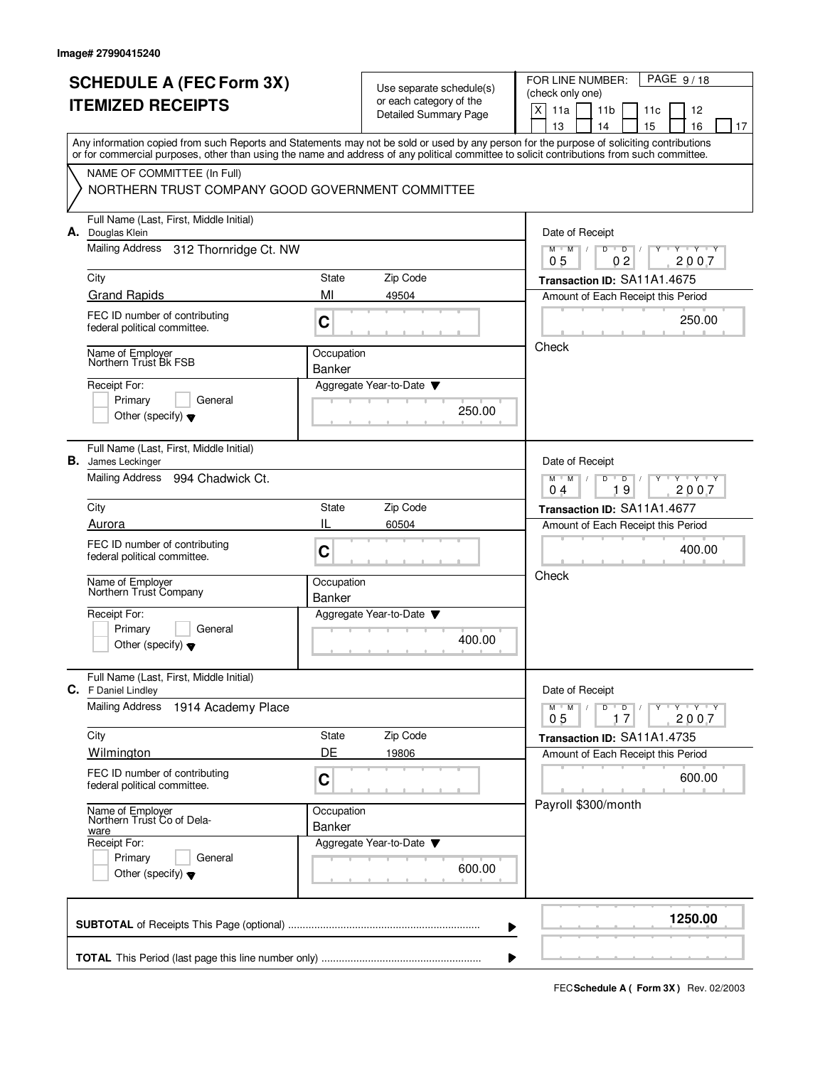|    | <b>SCHEDULE A (FEC Form 3X)</b><br><b>ITEMIZED RECEIPTS</b>                                                                                                                                                                                                                             |                                                                                 | Use separate schedule(s)<br>or each category of the<br><b>Detailed Summary Page</b> | PAGE 9/18<br>FOR LINE NUMBER:<br>(check only one)<br>X<br>11a<br>11 <sub>b</sub><br>11c<br>12<br>15<br>13<br>16<br>14<br>17 |
|----|-----------------------------------------------------------------------------------------------------------------------------------------------------------------------------------------------------------------------------------------------------------------------------------------|---------------------------------------------------------------------------------|-------------------------------------------------------------------------------------|-----------------------------------------------------------------------------------------------------------------------------|
|    | Any information copied from such Reports and Statements may not be sold or used by any person for the purpose of soliciting contributions<br>or for commercial purposes, other than using the name and address of any political committee to solicit contributions from such committee. |                                                                                 |                                                                                     |                                                                                                                             |
|    | NAME OF COMMITTEE (In Full)<br>NORTHERN TRUST COMPANY GOOD GOVERNMENT COMMITTEE                                                                                                                                                                                                         |                                                                                 |                                                                                     |                                                                                                                             |
|    | Full Name (Last, First, Middle Initial)<br>A. Douglas Klein                                                                                                                                                                                                                             |                                                                                 |                                                                                     | Date of Receipt                                                                                                             |
|    | Mailing Address<br>312 Thornridge Ct. NW                                                                                                                                                                                                                                                |                                                                                 |                                                                                     | D<br>M<br>M<br>D<br>$Y+Y$<br>2007<br>05<br>0 <sub>2</sub>                                                                   |
|    | City                                                                                                                                                                                                                                                                                    | State                                                                           | Zip Code                                                                            | Transaction ID: SA11A1.4675                                                                                                 |
|    | <b>Grand Rapids</b>                                                                                                                                                                                                                                                                     | MI                                                                              | 49504                                                                               | Amount of Each Receipt this Period                                                                                          |
|    | FEC ID number of contributing<br>federal political committee.                                                                                                                                                                                                                           | C                                                                               |                                                                                     | 250.00                                                                                                                      |
|    | Name of Employer<br>Northern Trust Bk FSB                                                                                                                                                                                                                                               | Occupation<br><b>Banker</b>                                                     |                                                                                     | Check                                                                                                                       |
|    | Receipt For:<br>Primary<br>General<br>Other (specify) $\blacktriangledown$                                                                                                                                                                                                              |                                                                                 | Aggregate Year-to-Date<br>250.00                                                    |                                                                                                                             |
| В. | Full Name (Last, First, Middle Initial)<br>James Leckinger                                                                                                                                                                                                                              |                                                                                 |                                                                                     | Date of Receipt                                                                                                             |
|    | <b>Mailing Address</b><br>994 Chadwick Ct.                                                                                                                                                                                                                                              | $Y$ $Y$ $Y$<br>$M$ <sup><math>+</math></sup><br>M<br>D<br>D<br>19<br>2007<br>04 |                                                                                     |                                                                                                                             |
|    | City                                                                                                                                                                                                                                                                                    | State                                                                           | Zip Code                                                                            | Transaction ID: SA11A1.4677                                                                                                 |
|    | Aurora                                                                                                                                                                                                                                                                                  | IL                                                                              | 60504                                                                               | Amount of Each Receipt this Period                                                                                          |
|    | FEC ID number of contributing<br>federal political committee.                                                                                                                                                                                                                           | C                                                                               |                                                                                     | 400.00                                                                                                                      |
|    | Name of Employer<br>Northern Trust Company                                                                                                                                                                                                                                              | Occupation<br><b>Banker</b>                                                     |                                                                                     | Check                                                                                                                       |
|    | Receipt For:                                                                                                                                                                                                                                                                            |                                                                                 | Aggregate Year-to-Date                                                              |                                                                                                                             |
|    | Primary<br>General<br>Other (specify) $\blacktriangledown$                                                                                                                                                                                                                              |                                                                                 | 400.00                                                                              |                                                                                                                             |
|    | Full Name (Last, First, Middle Initial)<br>C. F Daniel Lindley                                                                                                                                                                                                                          |                                                                                 |                                                                                     | Date of Receipt                                                                                                             |
|    | <b>Mailing Address</b><br>1914 Academy Place                                                                                                                                                                                                                                            |                                                                                 |                                                                                     | Y Y Y Y<br>$M^+$ M<br>D<br>D<br>2007<br>05<br>17                                                                            |
|    | City                                                                                                                                                                                                                                                                                    | State                                                                           | Zip Code                                                                            | Transaction ID: SA11A1.4735                                                                                                 |
|    | Wilmington                                                                                                                                                                                                                                                                              | DE                                                                              | 19806                                                                               | Amount of Each Receipt this Period                                                                                          |
|    | FEC ID number of contributing<br>federal political committee.                                                                                                                                                                                                                           | C                                                                               |                                                                                     | 600.00                                                                                                                      |
|    | Name of Employer<br>Northern Trust Co of Dela-<br>ware                                                                                                                                                                                                                                  | Occupation<br>Banker                                                            |                                                                                     | Payroll \$300/month                                                                                                         |
|    | Receipt For:                                                                                                                                                                                                                                                                            |                                                                                 | Aggregate Year-to-Date                                                              |                                                                                                                             |
|    | Primary<br>General<br>Other (specify) $\blacktriangledown$                                                                                                                                                                                                                              |                                                                                 | 600.00                                                                              |                                                                                                                             |
|    |                                                                                                                                                                                                                                                                                         |                                                                                 |                                                                                     | 1250.00                                                                                                                     |

**FECSchedule A ( Form 3X)** Rev. 02/2003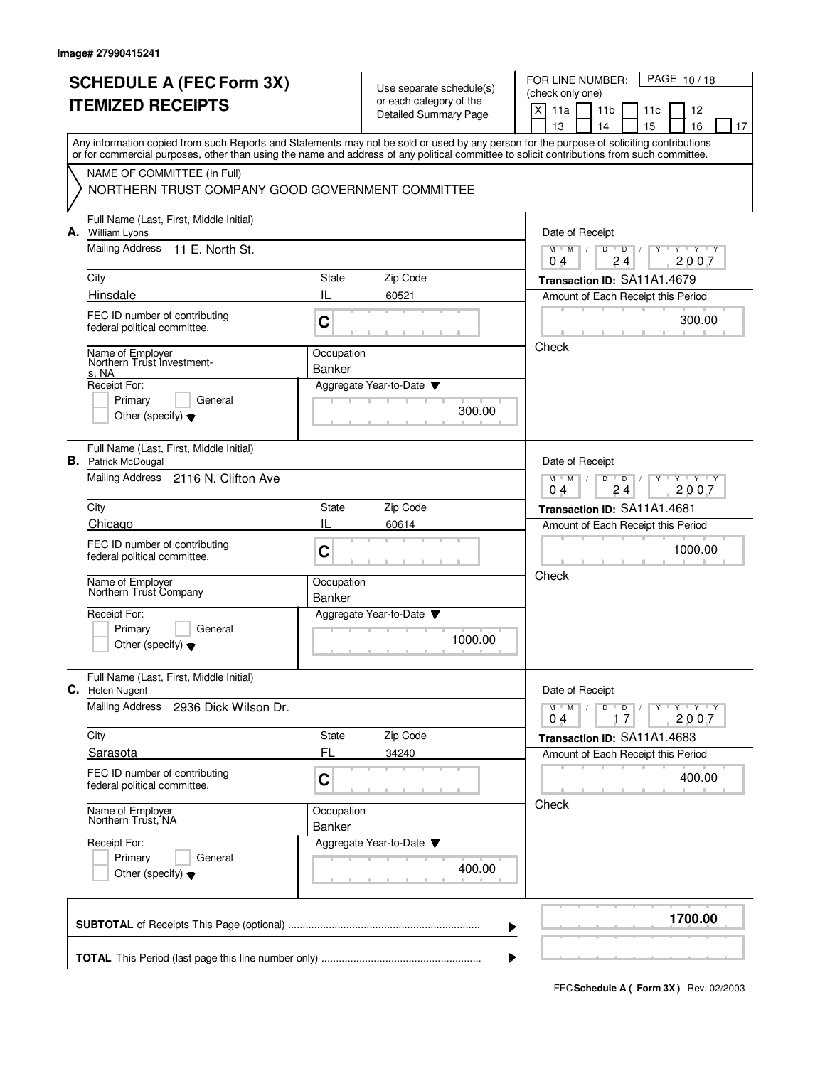|                          | <b>SCHEDULE A (FEC Form 3X)</b>                                                                                                                                                                                                                                                         |                                                                     |                                                     | PAGE 10/18<br>FOR LINE NUMBER:                                  |  |  |  |
|--------------------------|-----------------------------------------------------------------------------------------------------------------------------------------------------------------------------------------------------------------------------------------------------------------------------------------|---------------------------------------------------------------------|-----------------------------------------------------|-----------------------------------------------------------------|--|--|--|
| <b>ITEMIZED RECEIPTS</b> |                                                                                                                                                                                                                                                                                         |                                                                     | Use separate schedule(s)<br>or each category of the | (check only one)                                                |  |  |  |
|                          |                                                                                                                                                                                                                                                                                         |                                                                     | <b>Detailed Summary Page</b>                        | X<br>11a<br>11 <sub>b</sub><br>11c<br>12                        |  |  |  |
|                          | Any information copied from such Reports and Statements may not be sold or used by any person for the purpose of soliciting contributions<br>or for commercial purposes, other than using the name and address of any political committee to solicit contributions from such committee. |                                                                     |                                                     | 16<br>13<br>14<br>15<br>17                                      |  |  |  |
|                          | NAME OF COMMITTEE (In Full)                                                                                                                                                                                                                                                             |                                                                     |                                                     |                                                                 |  |  |  |
|                          | NORTHERN TRUST COMPANY GOOD GOVERNMENT COMMITTEE                                                                                                                                                                                                                                        |                                                                     |                                                     |                                                                 |  |  |  |
| А.                       | Full Name (Last, First, Middle Initial)<br>William Lyons                                                                                                                                                                                                                                |                                                                     |                                                     | Date of Receipt                                                 |  |  |  |
|                          | Mailing Address<br>11 E. North St.                                                                                                                                                                                                                                                      | Y Y Y Y<br>$M$ $M$ $/$<br>D<br>$\overline{D}$<br>2007<br>04<br>24   |                                                     |                                                                 |  |  |  |
|                          | City                                                                                                                                                                                                                                                                                    | State                                                               | Zip Code                                            | Transaction ID: SA11A1.4679                                     |  |  |  |
|                          | Hinsdale                                                                                                                                                                                                                                                                                | IL                                                                  | 60521                                               | Amount of Each Receipt this Period                              |  |  |  |
|                          | FEC ID number of contributing<br>federal political committee.                                                                                                                                                                                                                           | C                                                                   |                                                     | 300.00                                                          |  |  |  |
|                          | Name of Employer<br>Northern Trust Investment-<br>s. NA                                                                                                                                                                                                                                 | Occupation<br>Banker                                                |                                                     | Check                                                           |  |  |  |
|                          | Receipt For:                                                                                                                                                                                                                                                                            |                                                                     | Aggregate Year-to-Date                              |                                                                 |  |  |  |
|                          | General<br>Primary<br>Other (specify) $\blacktriangledown$                                                                                                                                                                                                                              |                                                                     | 300.00                                              |                                                                 |  |  |  |
|                          | Full Name (Last, First, Middle Initial)<br><b>B.</b> Patrick McDougal                                                                                                                                                                                                                   |                                                                     |                                                     | Date of Receipt                                                 |  |  |  |
|                          | Mailing Address 2116 N. Clifton Ave                                                                                                                                                                                                                                                     | $Y - Y - Y$<br>$M$ <sup>-1</sup><br>M<br>D<br>D<br>2007<br>24<br>04 |                                                     |                                                                 |  |  |  |
|                          | City                                                                                                                                                                                                                                                                                    | State                                                               | Zip Code                                            | Transaction ID: SA11A1.4681                                     |  |  |  |
|                          | Chicago                                                                                                                                                                                                                                                                                 | IL                                                                  | 60614                                               | Amount of Each Receipt this Period                              |  |  |  |
|                          | FEC ID number of contributing<br>federal political committee.                                                                                                                                                                                                                           | C                                                                   |                                                     | 1000.00                                                         |  |  |  |
|                          | Name of Employer<br>Northern Trust Company                                                                                                                                                                                                                                              | Occupation                                                          |                                                     | Check                                                           |  |  |  |
|                          | Receipt For:                                                                                                                                                                                                                                                                            | Banker                                                              | Aggregate Year-to-Date                              |                                                                 |  |  |  |
|                          | Primary<br>General<br>Other (specify) $\blacktriangledown$                                                                                                                                                                                                                              |                                                                     | 1000.00                                             |                                                                 |  |  |  |
|                          | Full Name (Last, First, Middle Initial)                                                                                                                                                                                                                                                 |                                                                     |                                                     |                                                                 |  |  |  |
| C.                       | Helen Nugent                                                                                                                                                                                                                                                                            |                                                                     |                                                     | Date of Receipt                                                 |  |  |  |
|                          | Mailing Address<br>2936 Dick Wilson Dr.                                                                                                                                                                                                                                                 |                                                                     |                                                     | $Y + Y + Y$<br>$M$ M<br>D<br>$\overline{D}$<br>2007<br>17<br>04 |  |  |  |
|                          | City                                                                                                                                                                                                                                                                                    | State                                                               | Zip Code                                            | Transaction ID: SA11A1.4683                                     |  |  |  |
|                          | Sarasota                                                                                                                                                                                                                                                                                | FL                                                                  | 34240                                               | Amount of Each Receipt this Period                              |  |  |  |
|                          | FEC ID number of contributing<br>federal political committee.                                                                                                                                                                                                                           | $\mathbf C$                                                         |                                                     | 400.00                                                          |  |  |  |
|                          | Name of Employer<br>Northern Trust, NA                                                                                                                                                                                                                                                  | Occupation<br><b>Banker</b>                                         |                                                     | Check                                                           |  |  |  |
|                          | Receipt For:                                                                                                                                                                                                                                                                            |                                                                     | Aggregate Year-to-Date                              |                                                                 |  |  |  |
|                          | Primary<br>General<br>Other (specify) $\blacktriangledown$                                                                                                                                                                                                                              |                                                                     | 400.00                                              |                                                                 |  |  |  |
|                          |                                                                                                                                                                                                                                                                                         |                                                                     |                                                     | 1700.00                                                         |  |  |  |
|                          |                                                                                                                                                                                                                                                                                         |                                                                     |                                                     |                                                                 |  |  |  |

**FECSchedule A ( Form 3X)** Rev. 02/2003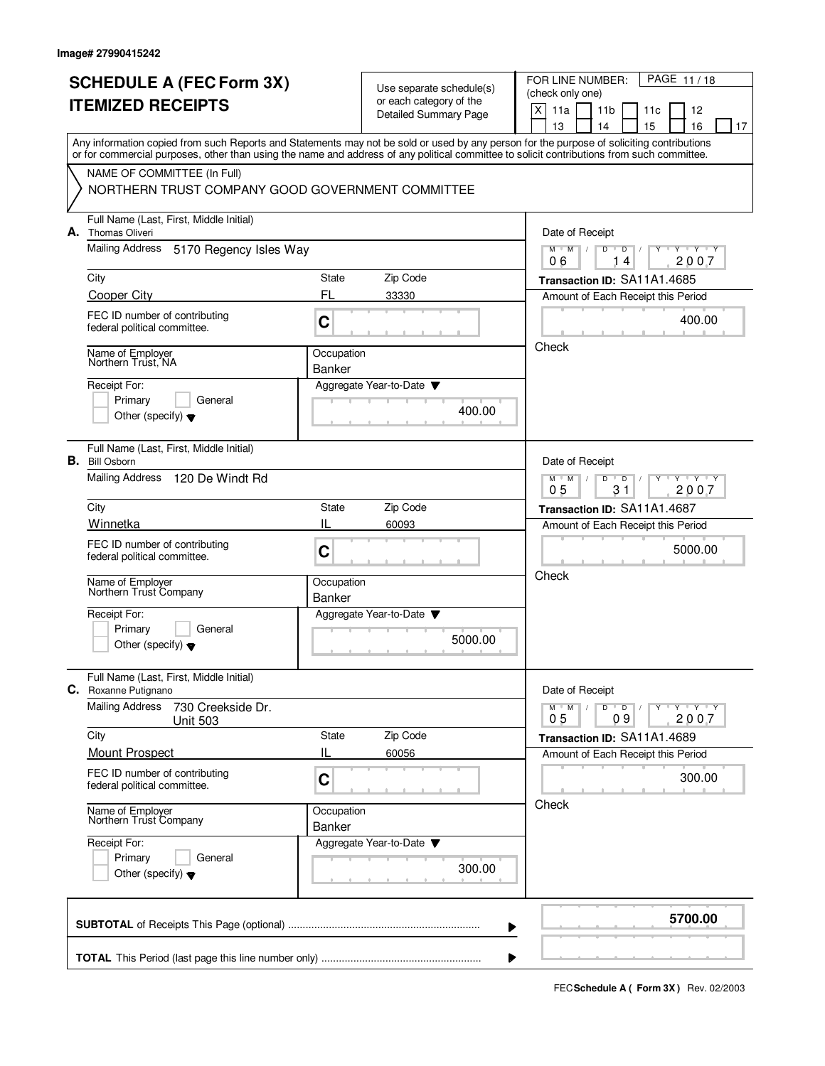|    | <b>SCHEDULE A (FEC Form 3X)</b><br><b>ITEMIZED RECEIPTS</b>                                                                                                                                                                                                                             |                             | Use separate schedule(s)<br>or each category of the<br><b>Detailed Summary Page</b> | PAGE 11/18<br>FOR LINE NUMBER:<br>(check only one)<br>X<br>11a<br>11 <sub>b</sub><br>12<br>11c<br>13<br>14<br>15<br>16<br>17 |
|----|-----------------------------------------------------------------------------------------------------------------------------------------------------------------------------------------------------------------------------------------------------------------------------------------|-----------------------------|-------------------------------------------------------------------------------------|------------------------------------------------------------------------------------------------------------------------------|
|    | Any information copied from such Reports and Statements may not be sold or used by any person for the purpose of soliciting contributions<br>or for commercial purposes, other than using the name and address of any political committee to solicit contributions from such committee. |                             |                                                                                     |                                                                                                                              |
|    | NAME OF COMMITTEE (In Full)<br>NORTHERN TRUST COMPANY GOOD GOVERNMENT COMMITTEE                                                                                                                                                                                                         |                             |                                                                                     |                                                                                                                              |
|    | Full Name (Last, First, Middle Initial)<br>A. Thomas Oliveri                                                                                                                                                                                                                            |                             |                                                                                     | Date of Receipt                                                                                                              |
|    | Mailing Address<br>5170 Regency Isles Way                                                                                                                                                                                                                                               |                             |                                                                                     | $M$ M<br>D<br>Y Y Y Y<br>$\overline{D}$<br>06<br>2007<br>4                                                                   |
|    | City                                                                                                                                                                                                                                                                                    | State                       | Zip Code                                                                            | Transaction ID: SA11A1.4685                                                                                                  |
|    | <b>Cooper City</b>                                                                                                                                                                                                                                                                      | FL                          | 33330                                                                               | Amount of Each Receipt this Period                                                                                           |
|    | FEC ID number of contributing<br>federal political committee.                                                                                                                                                                                                                           | C                           |                                                                                     | 400.00                                                                                                                       |
|    | Name of Employer<br>Northern Trust, NA                                                                                                                                                                                                                                                  | Occupation<br>Banker        |                                                                                     | Check                                                                                                                        |
|    | Receipt For:<br>Primary<br>General<br>Other (specify) $\blacktriangledown$                                                                                                                                                                                                              |                             | Aggregate Year-to-Date<br>400.00                                                    |                                                                                                                              |
| В. | Full Name (Last, First, Middle Initial)<br><b>Bill Osborn</b>                                                                                                                                                                                                                           |                             |                                                                                     | Date of Receipt                                                                                                              |
|    | <b>Mailing Address</b><br>120 De Windt Rd                                                                                                                                                                                                                                               |                             |                                                                                     | $Y + Y + Y$<br>$M$ <sup>U</sup><br>M<br>$\mathsf D$<br>D<br>31<br>05<br>2007                                                 |
|    | City                                                                                                                                                                                                                                                                                    | State                       | Zip Code                                                                            | Transaction ID: SA11A1.4687                                                                                                  |
|    | Winnetka<br>FEC ID number of contributing<br>federal political committee.                                                                                                                                                                                                               | IL<br>C                     | 60093                                                                               | Amount of Each Receipt this Period<br>5000.00                                                                                |
|    | Name of Employer<br>Northern Trust Company                                                                                                                                                                                                                                              | Occupation<br><b>Banker</b> |                                                                                     | Check                                                                                                                        |
|    | Receipt For:<br>Primary<br>General<br>Other (specify) $\blacktriangledown$                                                                                                                                                                                                              |                             | Aggregate Year-to-Date<br>5000.00                                                   |                                                                                                                              |
|    | Full Name (Last, First, Middle Initial)<br>C. Roxanne Putignano                                                                                                                                                                                                                         |                             |                                                                                     | Date of Receipt                                                                                                              |
|    | <b>Mailing Address</b><br>730 Creekside Dr.<br><b>Unit 503</b>                                                                                                                                                                                                                          |                             |                                                                                     | $Y - Y - Y - Y$<br>$M$ M<br>D<br>$\overline{D}$<br>09<br>2007<br>0 <sub>5</sub>                                              |
|    | City<br>Mount Prospect                                                                                                                                                                                                                                                                  | State<br>IL                 | Zip Code<br>60056                                                                   | Transaction ID: SA11A1.4689<br>Amount of Each Receipt this Period                                                            |
|    | FEC ID number of contributing<br>federal political committee.                                                                                                                                                                                                                           | C                           |                                                                                     | 300.00                                                                                                                       |
|    | Name of Employer<br>Northern Trust Company                                                                                                                                                                                                                                              | Occupation<br>Banker        |                                                                                     | Check                                                                                                                        |
|    | Receipt For:<br>Primary<br>General<br>Other (specify) $\blacktriangledown$                                                                                                                                                                                                              |                             | Aggregate Year-to-Date<br>300.00                                                    |                                                                                                                              |
|    |                                                                                                                                                                                                                                                                                         |                             |                                                                                     | 5700.00                                                                                                                      |

**FECSchedule A ( Form 3X)** Rev. 02/2003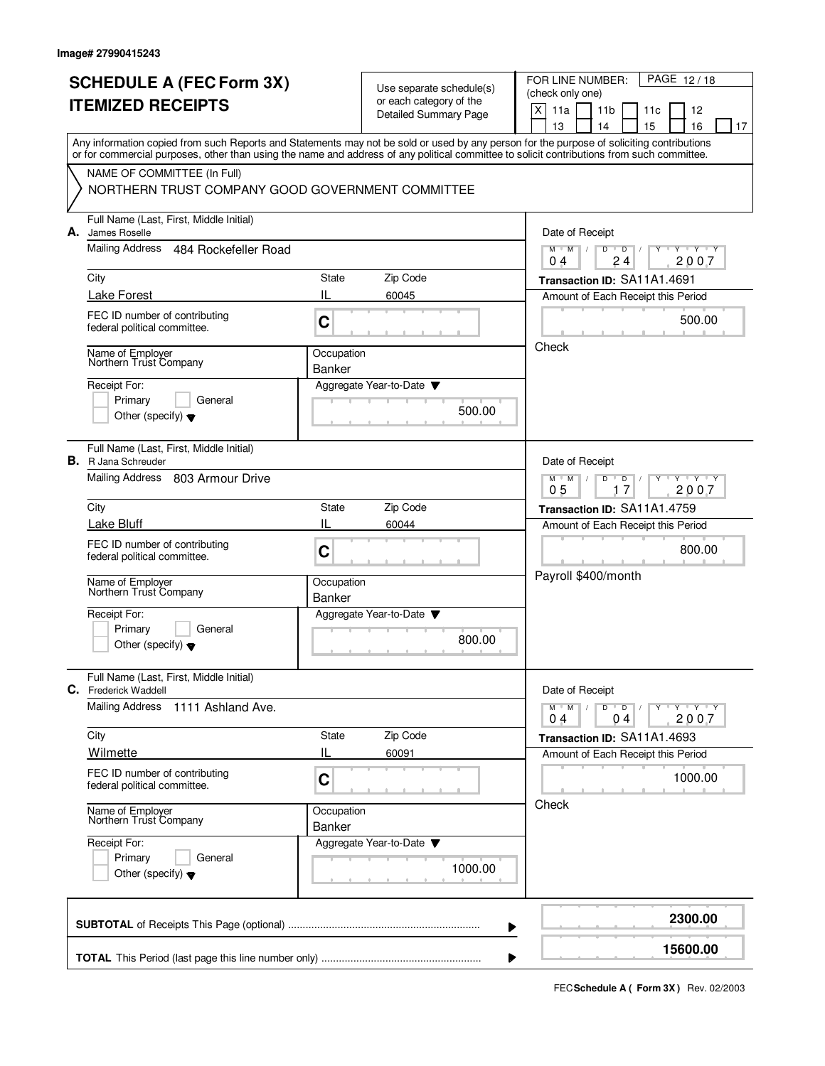|    | <b>SCHEDULE A (FEC Form 3X)</b><br><b>ITEMIZED RECEIPTS</b>                                                                                                                                                                                                                             |                                                                                 | Use separate schedule(s)<br>or each category of the<br>Detailed Summary Page | PAGE 12/18<br>FOR LINE NUMBER:<br>(check only one)<br>X<br>11a<br>11 <sub>b</sub><br>12<br>11c<br>15<br>13<br>16<br>14<br>17 |
|----|-----------------------------------------------------------------------------------------------------------------------------------------------------------------------------------------------------------------------------------------------------------------------------------------|---------------------------------------------------------------------------------|------------------------------------------------------------------------------|------------------------------------------------------------------------------------------------------------------------------|
|    | Any information copied from such Reports and Statements may not be sold or used by any person for the purpose of soliciting contributions<br>or for commercial purposes, other than using the name and address of any political committee to solicit contributions from such committee. |                                                                                 |                                                                              |                                                                                                                              |
|    | NAME OF COMMITTEE (In Full)<br>NORTHERN TRUST COMPANY GOOD GOVERNMENT COMMITTEE                                                                                                                                                                                                         |                                                                                 |                                                                              |                                                                                                                              |
| А. | Full Name (Last, First, Middle Initial)<br>James Roselle                                                                                                                                                                                                                                |                                                                                 |                                                                              | Date of Receipt                                                                                                              |
|    | Mailing Address<br>484 Rockefeller Road                                                                                                                                                                                                                                                 |                                                                                 |                                                                              | $M$ $M$<br>D<br>D<br>$\cdots$ Y $\cdots$ Y<br>24<br>2007<br>04                                                               |
|    | City                                                                                                                                                                                                                                                                                    | State                                                                           | Zip Code                                                                     | Transaction ID: SA11A1.4691                                                                                                  |
|    | <b>Lake Forest</b>                                                                                                                                                                                                                                                                      | IL                                                                              | 60045                                                                        | Amount of Each Receipt this Period                                                                                           |
|    | FEC ID number of contributing<br>federal political committee.                                                                                                                                                                                                                           | C                                                                               |                                                                              | 500.00                                                                                                                       |
|    | Name of Employer<br>Northern Trust Company                                                                                                                                                                                                                                              | Occupation                                                                      |                                                                              | Check                                                                                                                        |
|    | Receipt For:<br>Primary<br>General<br>Other (specify) $\blacktriangledown$                                                                                                                                                                                                              | <b>Banker</b>                                                                   | Aggregate Year-to-Date<br>500.00                                             |                                                                                                                              |
| В. | Full Name (Last, First, Middle Initial)<br>R Jana Schreuder                                                                                                                                                                                                                             |                                                                                 |                                                                              | Date of Receipt                                                                                                              |
|    | Mailing Address<br>803 Armour Drive                                                                                                                                                                                                                                                     | $Y + Y + Y$<br>$M$ <sup><math>+</math></sup><br>M<br>D<br>D<br>17<br>2007<br>05 |                                                                              |                                                                                                                              |
|    | City                                                                                                                                                                                                                                                                                    | State                                                                           | Zip Code                                                                     | Transaction ID: SA11A1.4759                                                                                                  |
|    | Lake Bluff                                                                                                                                                                                                                                                                              | IL                                                                              | 60044                                                                        | Amount of Each Receipt this Period                                                                                           |
|    | FEC ID number of contributing<br>federal political committee.                                                                                                                                                                                                                           | C                                                                               |                                                                              | 800.00                                                                                                                       |
|    | Name of Employer<br>Northern Trust Company                                                                                                                                                                                                                                              | Occupation<br><b>Banker</b>                                                     |                                                                              | Payroll \$400/month                                                                                                          |
|    | Receipt For:<br>Primary<br>General<br>Other (specify) $\blacktriangledown$                                                                                                                                                                                                              |                                                                                 | Aggregate Year-to-Date<br>800.00                                             |                                                                                                                              |
|    | Full Name (Last, First, Middle Initial)<br>C. Frederick Waddell                                                                                                                                                                                                                         |                                                                                 |                                                                              | Date of Receipt                                                                                                              |
|    | <b>Mailing Address</b><br>1111 Ashland Ave.                                                                                                                                                                                                                                             |                                                                                 |                                                                              | $Y - Y - Y - Y$<br>$M$ $M$ /<br>D<br>$\overline{D}$<br>2007<br>0 <sub>4</sub><br>04                                          |
|    | City                                                                                                                                                                                                                                                                                    | State                                                                           | Zip Code                                                                     | Transaction ID: SA11A1.4693                                                                                                  |
|    | Wilmette                                                                                                                                                                                                                                                                                | IL                                                                              | 60091                                                                        | Amount of Each Receipt this Period                                                                                           |
|    | FEC ID number of contributing<br>federal political committee.                                                                                                                                                                                                                           | C                                                                               |                                                                              | 1000.00                                                                                                                      |
|    | Name of Employer<br>Northern Trust Company                                                                                                                                                                                                                                              | Occupation<br>Banker                                                            |                                                                              | Check                                                                                                                        |
|    | Receipt For:<br>Primary<br>General<br>Other (specify) $\blacktriangledown$                                                                                                                                                                                                              |                                                                                 | Aggregate Year-to-Date<br>1000.00                                            |                                                                                                                              |
|    |                                                                                                                                                                                                                                                                                         |                                                                                 |                                                                              | 2300.00                                                                                                                      |
|    |                                                                                                                                                                                                                                                                                         |                                                                                 |                                                                              | 15600.00                                                                                                                     |

**FECSchedule A ( Form 3X)** Rev. 02/2003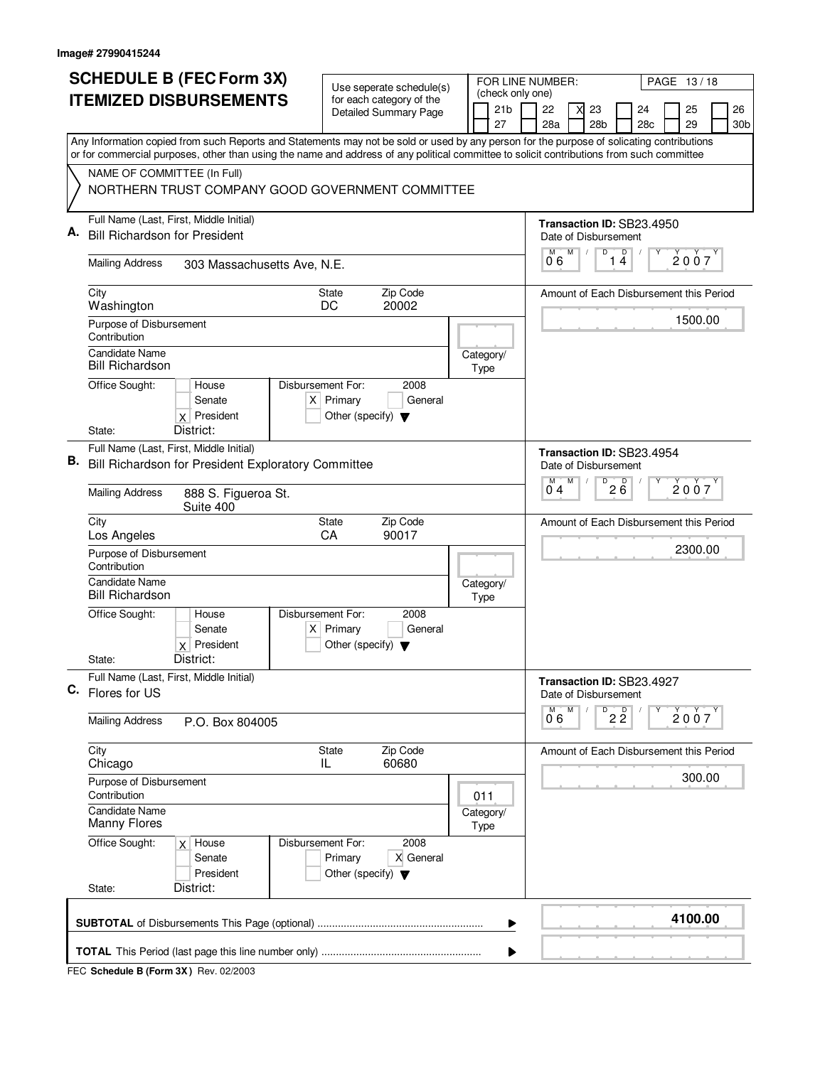|    | <b>SCHEDULE B (FEC Form 3X)</b>                                                                                                                                          | Use seperate schedule(s)                                                                    |  |  | FOR LINE NUMBER:                    |  |                                                    |   |                           |                               |                                         | PAGE 13/18 |  |                 |
|----|--------------------------------------------------------------------------------------------------------------------------------------------------------------------------|---------------------------------------------------------------------------------------------|--|--|-------------------------------------|--|----------------------------------------------------|---|---------------------------|-------------------------------|-----------------------------------------|------------|--|-----------------|
|    | <b>ITEMIZED DISBURSEMENTS</b>                                                                                                                                            | for each category of the                                                                    |  |  | (check only one)<br>21 <sub>b</sub> |  | 22                                                 | X | 23                        |                               | 24                                      | 25         |  | 26              |
|    |                                                                                                                                                                          | Detailed Summary Page                                                                       |  |  | 27                                  |  | 28a                                                |   | 28 <sub>b</sub>           |                               | 28c                                     | 29         |  | 30 <sub>b</sub> |
|    | Any Information copied from such Reports and Statements may not be sold or used by any person for the purpose of solicating contributions                                |                                                                                             |  |  |                                     |  |                                                    |   |                           |                               |                                         |            |  |                 |
|    | or for commercial purposes, other than using the name and address of any political committee to solicit contributions from such committee<br>NAME OF COMMITTEE (In Full) |                                                                                             |  |  |                                     |  |                                                    |   |                           |                               |                                         |            |  |                 |
|    | NORTHERN TRUST COMPANY GOOD GOVERNMENT COMMITTEE                                                                                                                         |                                                                                             |  |  |                                     |  |                                                    |   |                           |                               |                                         |            |  |                 |
|    | Full Name (Last, First, Middle Initial)                                                                                                                                  |                                                                                             |  |  |                                     |  |                                                    |   |                           |                               | Transaction ID: SB23.4950               |            |  |                 |
|    | <b>Bill Richardson for President</b>                                                                                                                                     |                                                                                             |  |  |                                     |  |                                                    |   | Date of Disbursement      |                               |                                         |            |  |                 |
|    | <b>Mailing Address</b><br>303 Massachusetts Ave, N.E.                                                                                                                    |                                                                                             |  |  |                                     |  | М<br>06                                            | M | D                         | D<br>14                       |                                         | 2007       |  |                 |
|    | City<br>Washington                                                                                                                                                       | Zip Code<br>State<br>DC<br>20002                                                            |  |  |                                     |  |                                                    |   |                           |                               | Amount of Each Disbursement this Period |            |  |                 |
|    | Purpose of Disbursement<br>Contribution                                                                                                                                  |                                                                                             |  |  |                                     |  |                                                    |   |                           |                               |                                         | 1500.00    |  |                 |
|    | <b>Candidate Name</b><br><b>Bill Richardson</b>                                                                                                                          |                                                                                             |  |  | Category/<br>Type                   |  |                                                    |   |                           |                               |                                         |            |  |                 |
|    | Office Sought:<br>House<br>Senate<br>$x$ President<br>District:<br>State:                                                                                                | Disbursement For:<br>2008<br>$X$ Primary<br>General<br>Other (specify) $\blacktriangledown$ |  |  |                                     |  |                                                    |   |                           |                               |                                         |            |  |                 |
|    | Full Name (Last, First, Middle Initial)                                                                                                                                  |                                                                                             |  |  |                                     |  |                                                    |   |                           |                               |                                         |            |  |                 |
| В. | Bill Richardson for President Exploratory Committee                                                                                                                      |                                                                                             |  |  |                                     |  | M                                                  | M | Date of Disbursement<br>D | $\overline{D}$                | Transaction ID: SB23.4954               |            |  |                 |
|    | <b>Mailing Address</b><br>888 S. Figueroa St.<br>Suite 400                                                                                                               |                                                                                             |  |  |                                     |  | 04                                                 |   | 2007<br>$2\overline{6}$   |                               |                                         |            |  |                 |
|    | City<br>Los Angeles                                                                                                                                                      | Zip Code<br><b>State</b><br>CA<br>90017                                                     |  |  |                                     |  | Amount of Each Disbursement this Period<br>2300.00 |   |                           |                               |                                         |            |  |                 |
|    | Purpose of Disbursement<br>Contribution                                                                                                                                  |                                                                                             |  |  |                                     |  |                                                    |   |                           |                               |                                         |            |  |                 |
|    | <b>Candidate Name</b><br><b>Bill Richardson</b>                                                                                                                          |                                                                                             |  |  | Category/<br>Type                   |  |                                                    |   |                           |                               |                                         |            |  |                 |
|    | Office Sought:<br>House<br>Senate<br>$x$ President                                                                                                                       | Disbursement For:<br>2008<br>$X$ Primary<br>General<br>Other (specify) $\blacktriangledown$ |  |  |                                     |  |                                                    |   |                           |                               |                                         |            |  |                 |
|    | District:<br>State:                                                                                                                                                      |                                                                                             |  |  |                                     |  |                                                    |   |                           |                               |                                         |            |  |                 |
|    | Full Name (Last, First, Middle Initial)<br>C. Flores for US                                                                                                              |                                                                                             |  |  |                                     |  |                                                    |   | Date of Disbursement      |                               | Transaction ID: SB23.4927               |            |  |                 |
|    | <b>Mailing Address</b><br>P.O. Box 804005                                                                                                                                |                                                                                             |  |  |                                     |  | M<br>06                                            | M | D                         | $\overline{2}$ $\overline{2}$ |                                         | 2007       |  |                 |
|    | City<br>Chicago                                                                                                                                                          | Zip Code<br><b>State</b><br>60680<br>IL                                                     |  |  |                                     |  |                                                    |   |                           |                               | Amount of Each Disbursement this Period |            |  |                 |
|    | Purpose of Disbursement<br>Contribution<br>011                                                                                                                           |                                                                                             |  |  |                                     |  |                                                    |   |                           |                               |                                         | 300.00     |  |                 |
|    | Candidate Name<br>Manny Flores                                                                                                                                           |                                                                                             |  |  | Category/<br>Type                   |  |                                                    |   |                           |                               |                                         |            |  |                 |
|    | Office Sought:<br>$x$ House<br>Senate<br>President<br>District:<br>State:                                                                                                | Disbursement For:<br>2008<br>X General<br>Primary<br>Other (specify) $\blacktriangledown$   |  |  |                                     |  |                                                    |   |                           |                               |                                         |            |  |                 |
|    |                                                                                                                                                                          |                                                                                             |  |  | ▶                                   |  |                                                    |   |                           |                               |                                         | 4100.00    |  |                 |
|    |                                                                                                                                                                          |                                                                                             |  |  |                                     |  |                                                    |   |                           |                               |                                         |            |  |                 |
|    |                                                                                                                                                                          |                                                                                             |  |  |                                     |  |                                                    |   |                           |                               |                                         |            |  |                 |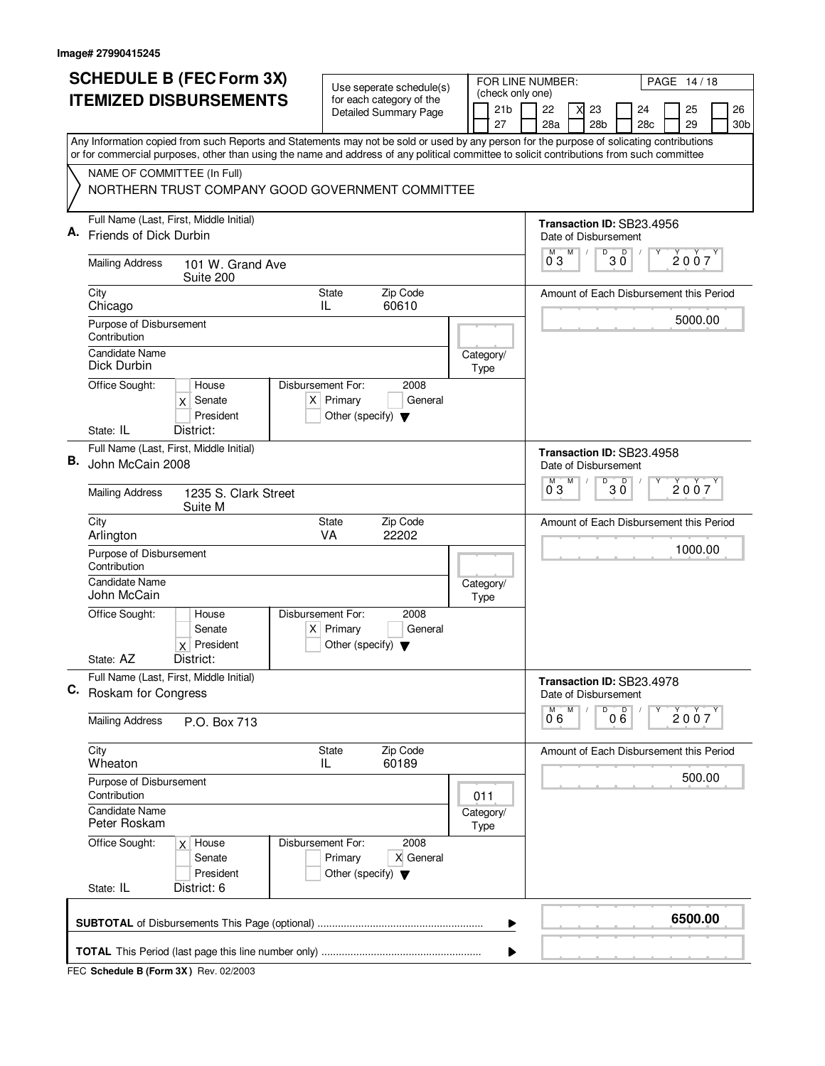|                               | <b>SCHEDULE B (FEC Form 3X)</b>                                                                                                                                                                                                                                                        |                                                                          | Use seperate schedule(s)     |                                         |  |                                     |   | FOR LINE NUMBER:                                       |   |                 |                   |     |  | PAGE 14/18 |  |                 |  |  |
|-------------------------------|----------------------------------------------------------------------------------------------------------------------------------------------------------------------------------------------------------------------------------------------------------------------------------------|--------------------------------------------------------------------------|------------------------------|-----------------------------------------|--|-------------------------------------|---|--------------------------------------------------------|---|-----------------|-------------------|-----|--|------------|--|-----------------|--|--|
| <b>ITEMIZED DISBURSEMENTS</b> |                                                                                                                                                                                                                                                                                        |                                                                          | for each category of the     |                                         |  | (check only one)<br>21 <sub>b</sub> |   | 22                                                     | X | 23              |                   | 24  |  | 25         |  | 26              |  |  |
|                               |                                                                                                                                                                                                                                                                                        |                                                                          | <b>Detailed Summary Page</b> |                                         |  | 27                                  |   | 28a                                                    |   | 28 <sub>b</sub> |                   | 28c |  | 29         |  | 30 <sub>b</sub> |  |  |
|                               | Any Information copied from such Reports and Statements may not be sold or used by any person for the purpose of solicating contributions<br>or for commercial purposes, other than using the name and address of any political committee to solicit contributions from such committee |                                                                          |                              |                                         |  |                                     |   |                                                        |   |                 |                   |     |  |            |  |                 |  |  |
|                               | NAME OF COMMITTEE (In Full)                                                                                                                                                                                                                                                            |                                                                          |                              |                                         |  |                                     |   |                                                        |   |                 |                   |     |  |            |  |                 |  |  |
|                               | NORTHERN TRUST COMPANY GOOD GOVERNMENT COMMITTEE                                                                                                                                                                                                                                       |                                                                          |                              |                                         |  |                                     |   |                                                        |   |                 |                   |     |  |            |  |                 |  |  |
| Α.                            | Full Name (Last, First, Middle Initial)                                                                                                                                                                                                                                                |                                                                          |                              |                                         |  |                                     |   | Transaction ID: SB23.4956                              |   |                 |                   |     |  |            |  |                 |  |  |
|                               | Friends of Dick Durbin                                                                                                                                                                                                                                                                 |                                                                          |                              |                                         |  |                                     |   | Date of Disbursement<br>М                              | M | D               |                   |     |  |            |  |                 |  |  |
|                               | <b>Mailing Address</b><br>101 W. Grand Ave<br>Suite 200                                                                                                                                                                                                                                |                                                                          |                              |                                         |  |                                     |   | 03                                                     |   |                 | $30^{\circ}$      |     |  | 2007       |  |                 |  |  |
|                               | City<br>Chicago                                                                                                                                                                                                                                                                        | <b>State</b><br>IL                                                       | Zip Code<br>60610            | Amount of Each Disbursement this Period |  |                                     |   |                                                        |   |                 |                   |     |  |            |  |                 |  |  |
|                               | Purpose of Disbursement<br>Contribution                                                                                                                                                                                                                                                |                                                                          |                              |                                         |  |                                     |   |                                                        |   |                 |                   |     |  | 5000.00    |  |                 |  |  |
|                               | <b>Candidate Name</b><br>Dick Durbin                                                                                                                                                                                                                                                   |                                                                          |                              |                                         |  | Category/<br>Type                   |   |                                                        |   |                 |                   |     |  |            |  |                 |  |  |
|                               | Office Sought:<br>House<br>Senate<br>X<br>President                                                                                                                                                                                                                                    | Disbursement For:<br>$X$ Primary<br>Other (specify) $\blacktriangledown$ | 2008<br>General              |                                         |  |                                     |   |                                                        |   |                 |                   |     |  |            |  |                 |  |  |
|                               | District:<br>State: IL                                                                                                                                                                                                                                                                 |                                                                          |                              |                                         |  |                                     |   |                                                        |   |                 |                   |     |  |            |  |                 |  |  |
| В.                            | Full Name (Last, First, Middle Initial)<br>John McCain 2008                                                                                                                                                                                                                            |                                                                          |                              |                                         |  |                                     |   | Transaction ID: SB23.4958<br>Date of Disbursement<br>M | M | D               | D                 |     |  |            |  |                 |  |  |
|                               | <b>Mailing Address</b><br>1235 S. Clark Street<br>Suite M                                                                                                                                                                                                                              |                                                                          |                              |                                         |  |                                     |   | 03                                                     |   |                 | 30                |     |  | 2007       |  |                 |  |  |
|                               | City<br>Arlington                                                                                                                                                                                                                                                                      | <b>State</b><br>VA                                                       | Zip Code<br>22202            |                                         |  |                                     |   | Amount of Each Disbursement this Period                |   |                 |                   |     |  |            |  |                 |  |  |
|                               | Purpose of Disbursement<br>Contribution                                                                                                                                                                                                                                                |                                                                          |                              |                                         |  |                                     |   |                                                        |   |                 |                   |     |  | 1000.00    |  |                 |  |  |
|                               | <b>Candidate Name</b><br>John McCain                                                                                                                                                                                                                                                   |                                                                          |                              |                                         |  | Category/<br>Type                   |   |                                                        |   |                 |                   |     |  |            |  |                 |  |  |
|                               | Office Sought:<br>House<br>Senate<br>$x$ President                                                                                                                                                                                                                                     | Disbursement For:<br>$X$ Primary<br>Other (specify) $\blacktriangledown$ | 2008<br>General              |                                         |  |                                     |   |                                                        |   |                 |                   |     |  |            |  |                 |  |  |
|                               | State: AZ<br>District:                                                                                                                                                                                                                                                                 |                                                                          |                              |                                         |  |                                     |   |                                                        |   |                 |                   |     |  |            |  |                 |  |  |
| C.                            | Full Name (Last, First, Middle Initial)<br>Roskam for Congress                                                                                                                                                                                                                         |                                                                          |                              |                                         |  |                                     |   | Transaction ID: SB23.4978<br>Date of Disbursement      |   |                 |                   |     |  |            |  |                 |  |  |
|                               | <b>Mailing Address</b><br>P.O. Box 713                                                                                                                                                                                                                                                 |                                                                          |                              |                                         |  |                                     |   | 0°6                                                    | M | D               | $0\overset{D}{6}$ | Υ   |  | 2007       |  |                 |  |  |
|                               | City<br>Wheaton                                                                                                                                                                                                                                                                        | State<br>IL                                                              | Zip Code<br>60189            |                                         |  |                                     |   | Amount of Each Disbursement this Period                |   |                 |                   |     |  |            |  |                 |  |  |
|                               | Purpose of Disbursement<br>Contribution                                                                                                                                                                                                                                                |                                                                          |                              |                                         |  | 011                                 |   |                                                        |   |                 |                   |     |  | 500.00     |  |                 |  |  |
|                               | Candidate Name<br>Peter Roskam                                                                                                                                                                                                                                                         |                                                                          |                              |                                         |  | Category/<br>Type                   |   |                                                        |   |                 |                   |     |  |            |  |                 |  |  |
|                               | Office Sought:<br>$x$ House<br>Senate<br>President<br>State: IL<br>District: 6                                                                                                                                                                                                         | Disbursement For:<br>Primary<br>Other (specify) $\blacktriangledown$     | 2008<br>X General            |                                         |  |                                     |   |                                                        |   |                 |                   |     |  |            |  |                 |  |  |
|                               |                                                                                                                                                                                                                                                                                        |                                                                          |                              |                                         |  |                                     |   |                                                        |   |                 |                   |     |  |            |  |                 |  |  |
|                               |                                                                                                                                                                                                                                                                                        |                                                                          |                              |                                         |  |                                     | ▶ |                                                        |   |                 |                   |     |  | 6500.00    |  |                 |  |  |
|                               |                                                                                                                                                                                                                                                                                        |                                                                          |                              |                                         |  |                                     |   |                                                        |   |                 |                   |     |  |            |  |                 |  |  |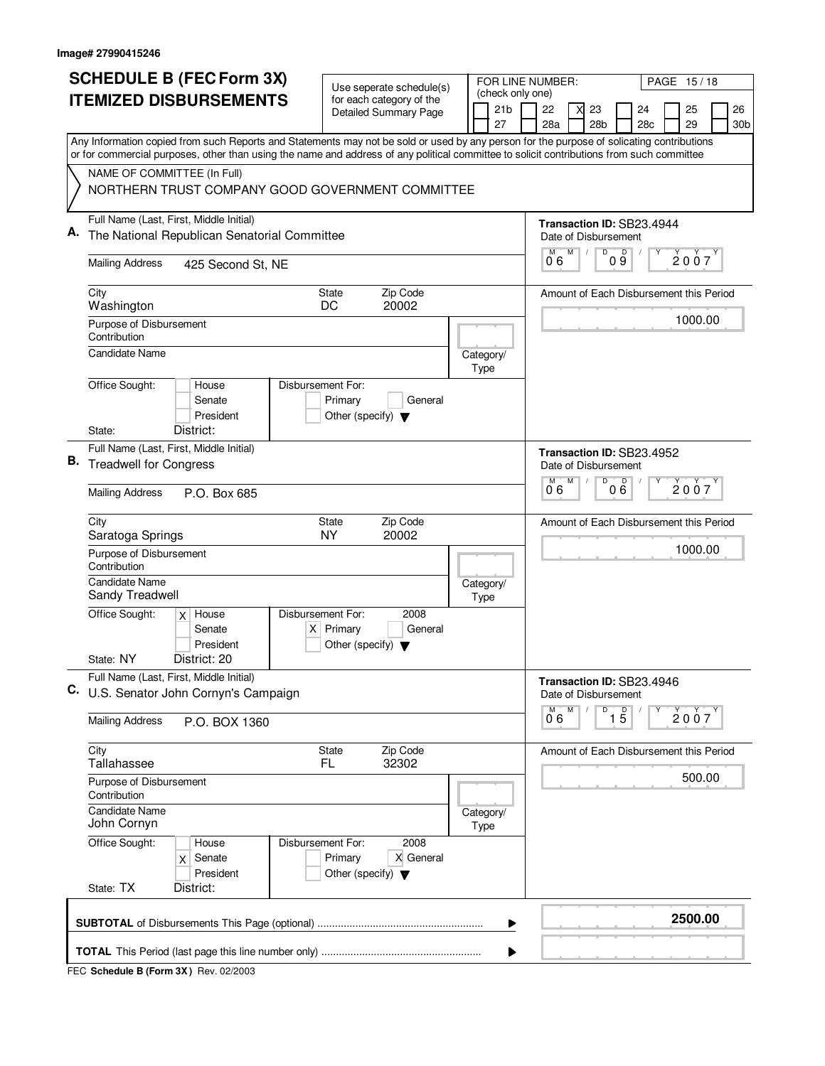|                               | <b>SCHEDULE B (FEC Form 3X)</b>                                                                                                                                                                                                                                                        |                                                     | Use seperate schedule(s)                                 |  |  | FOR LINE NUMBER:                    |                                                   |   |                                        |                   |                                         |  | PAGE 15/18 |  |                 |
|-------------------------------|----------------------------------------------------------------------------------------------------------------------------------------------------------------------------------------------------------------------------------------------------------------------------------------|-----------------------------------------------------|----------------------------------------------------------|--|--|-------------------------------------|---------------------------------------------------|---|----------------------------------------|-------------------|-----------------------------------------|--|------------|--|-----------------|
| <b>ITEMIZED DISBURSEMENTS</b> |                                                                                                                                                                                                                                                                                        |                                                     | for each category of the<br><b>Detailed Summary Page</b> |  |  | (check only one)<br>21 <sub>b</sub> | 22                                                |   | 23                                     |                   | 24                                      |  | 25         |  | 26              |
|                               |                                                                                                                                                                                                                                                                                        |                                                     |                                                          |  |  | 27                                  | 28a                                               |   | 28 <sub>b</sub>                        |                   | 28c                                     |  | 29         |  | 30 <sub>b</sub> |
|                               | Any Information copied from such Reports and Statements may not be sold or used by any person for the purpose of solicating contributions<br>or for commercial purposes, other than using the name and address of any political committee to solicit contributions from such committee |                                                     |                                                          |  |  |                                     |                                                   |   |                                        |                   |                                         |  |            |  |                 |
|                               | NAME OF COMMITTEE (In Full)                                                                                                                                                                                                                                                            |                                                     |                                                          |  |  |                                     |                                                   |   |                                        |                   |                                         |  |            |  |                 |
|                               | NORTHERN TRUST COMPANY GOOD GOVERNMENT COMMITTEE                                                                                                                                                                                                                                       |                                                     |                                                          |  |  |                                     |                                                   |   |                                        |                   |                                         |  |            |  |                 |
| А.                            | Full Name (Last, First, Middle Initial)<br>The National Republican Senatorial Committee                                                                                                                                                                                                |                                                     |                                                          |  |  |                                     | Transaction ID: SB23.4944<br>Date of Disbursement |   |                                        |                   |                                         |  |            |  |                 |
|                               | <b>Mailing Address</b><br>425 Second St, NE                                                                                                                                                                                                                                            |                                                     |                                                          |  |  |                                     | 06                                                | M | D                                      | D<br>09           |                                         |  | 2007       |  |                 |
|                               | City<br>Washington                                                                                                                                                                                                                                                                     | <b>State</b><br>DC                                  | Zip Code<br>20002                                        |  |  |                                     |                                                   |   |                                        |                   | Amount of Each Disbursement this Period |  |            |  |                 |
|                               | Purpose of Disbursement<br>Contribution                                                                                                                                                                                                                                                |                                                     |                                                          |  |  |                                     |                                                   |   |                                        |                   |                                         |  | 1000.00    |  |                 |
|                               | Candidate Name                                                                                                                                                                                                                                                                         |                                                     |                                                          |  |  | Category/<br>Type                   |                                                   |   |                                        |                   |                                         |  |            |  |                 |
|                               | Office Sought:<br>Disbursement For:<br>House<br>Senate<br>President                                                                                                                                                                                                                    | Primary<br>Other (specify) $\blacktriangledown$     | General                                                  |  |  |                                     |                                                   |   |                                        |                   |                                         |  |            |  |                 |
|                               | District:<br>State:                                                                                                                                                                                                                                                                    |                                                     |                                                          |  |  |                                     |                                                   |   |                                        |                   |                                         |  |            |  |                 |
| В.                            | Full Name (Last, First, Middle Initial)<br><b>Treadwell for Congress</b>                                                                                                                                                                                                               |                                                     |                                                          |  |  |                                     | Transaction ID: SB23.4952<br>M                    | M | Date of Disbursement<br>$\overline{D}$ | D                 |                                         |  |            |  |                 |
|                               | <b>Mailing Address</b><br>P.O. Box 685                                                                                                                                                                                                                                                 |                                                     |                                                          |  |  |                                     | 06                                                |   |                                        | 0 Ğ               |                                         |  | 2007       |  |                 |
|                               | City<br>Saratoga Springs                                                                                                                                                                                                                                                               | State<br><b>NY</b>                                  | Zip Code<br>20002                                        |  |  |                                     | Amount of Each Disbursement this Period           |   |                                        |                   |                                         |  |            |  |                 |
|                               | Purpose of Disbursement<br>Contribution                                                                                                                                                                                                                                                |                                                     |                                                          |  |  |                                     |                                                   |   |                                        |                   |                                         |  | 1000.00    |  |                 |
|                               | Candidate Name<br>Sandy Treadwell                                                                                                                                                                                                                                                      |                                                     |                                                          |  |  | Category/<br>Type                   |                                                   |   |                                        |                   |                                         |  |            |  |                 |
|                               | Office Sought:<br>Disbursement For:<br>$x$ House<br>Senate<br>President                                                                                                                                                                                                                | $X$ Primary<br>Other (specify) $\blacktriangledown$ | 2008<br>General                                          |  |  |                                     |                                                   |   |                                        |                   |                                         |  |            |  |                 |
|                               | State: NY<br>District: 20                                                                                                                                                                                                                                                              |                                                     |                                                          |  |  |                                     |                                                   |   |                                        |                   |                                         |  |            |  |                 |
| C.                            | Full Name (Last, First, Middle Initial)<br>U.S. Senator John Cornyn's Campaign                                                                                                                                                                                                         |                                                     |                                                          |  |  |                                     | Transaction ID: SB23.4946                         |   | Date of Disbursement                   |                   |                                         |  |            |  |                 |
|                               | <b>Mailing Address</b><br>P.O. BOX 1360                                                                                                                                                                                                                                                |                                                     |                                                          |  |  |                                     | M<br>0.6                                          | M | D                                      | $\overline{1\,5}$ |                                         |  | 2007       |  |                 |
|                               | City<br>Tallahassee                                                                                                                                                                                                                                                                    | State<br>FL.                                        | Zip Code<br>32302                                        |  |  |                                     |                                                   |   |                                        |                   | Amount of Each Disbursement this Period |  |            |  |                 |
|                               | Purpose of Disbursement<br>Contribution                                                                                                                                                                                                                                                |                                                     |                                                          |  |  |                                     |                                                   |   |                                        |                   |                                         |  | 500.00     |  |                 |
|                               | <b>Candidate Name</b><br>John Cornyn                                                                                                                                                                                                                                                   |                                                     |                                                          |  |  | Category/<br>Type                   |                                                   |   |                                        |                   |                                         |  |            |  |                 |
|                               | Office Sought:<br>Disbursement For:<br>House<br>Senate<br>$\mathsf{x}$<br>President                                                                                                                                                                                                    | Primary<br>Other (specify) $\blacktriangledown$     | 2008<br>X General                                        |  |  |                                     |                                                   |   |                                        |                   |                                         |  |            |  |                 |
|                               | State: TX<br>District:                                                                                                                                                                                                                                                                 |                                                     |                                                          |  |  |                                     |                                                   |   |                                        |                   |                                         |  |            |  |                 |
|                               |                                                                                                                                                                                                                                                                                        |                                                     |                                                          |  |  | ▶                                   |                                                   |   |                                        |                   |                                         |  | 2500.00    |  |                 |
|                               |                                                                                                                                                                                                                                                                                        |                                                     |                                                          |  |  | ▶                                   |                                                   |   |                                        |                   |                                         |  |            |  |                 |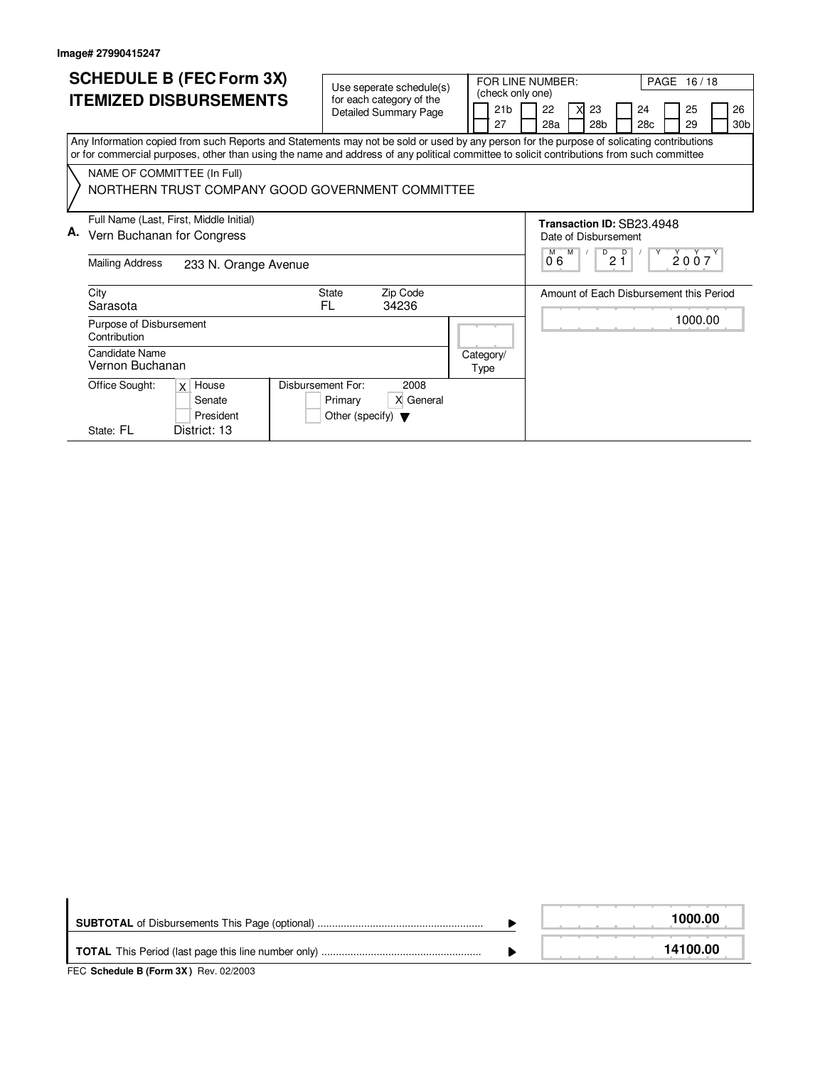|    | <b>SCHEDULE B (FEC Form 3X)</b><br><b>ITEMIZED DISBURSEMENTS</b>                                                                                                                                                                                                                       | Use seperate schedule(s)<br>for each category of the<br><b>Detailed Summary Page</b>             | (check only one)<br>21 <sub>b</sub><br>27 | PAGE 16/18<br>FOR LINE NUMBER:<br>22<br>24<br>X<br>23<br>25<br>26<br>28 <sub>b</sub><br>30 <sub>b</sub><br>28a<br>28c<br>29 |  |  |  |  |  |  |  |
|----|----------------------------------------------------------------------------------------------------------------------------------------------------------------------------------------------------------------------------------------------------------------------------------------|--------------------------------------------------------------------------------------------------|-------------------------------------------|-----------------------------------------------------------------------------------------------------------------------------|--|--|--|--|--|--|--|
|    | Any Information copied from such Reports and Statements may not be sold or used by any person for the purpose of solicating contributions<br>or for commercial purposes, other than using the name and address of any political committee to solicit contributions from such committee |                                                                                                  |                                           |                                                                                                                             |  |  |  |  |  |  |  |
|    | NAME OF COMMITTEE (In Full)<br>NORTHERN TRUST COMPANY GOOD GOVERNMENT COMMITTEE                                                                                                                                                                                                        |                                                                                                  |                                           |                                                                                                                             |  |  |  |  |  |  |  |
| А. | Full Name (Last, First, Middle Initial)<br>Vern Buchanan for Congress<br><b>Mailing Address</b><br>233 N. Orange Avenue                                                                                                                                                                |                                                                                                  |                                           | Transaction ID: SB23.4948<br>Date of Disbursement<br>M<br>D<br>D<br>2007<br>21<br>06                                        |  |  |  |  |  |  |  |
|    | City<br>Sarasota                                                                                                                                                                                                                                                                       | <b>State</b><br>Zip Code<br>34236<br>FL.                                                         |                                           | Amount of Each Disbursement this Period                                                                                     |  |  |  |  |  |  |  |
|    | Purpose of Disbursement<br>Contribution                                                                                                                                                                                                                                                |                                                                                                  |                                           | 1000.00                                                                                                                     |  |  |  |  |  |  |  |
|    | Candidate Name<br>Vernon Buchanan                                                                                                                                                                                                                                                      |                                                                                                  | Category/<br>Type                         |                                                                                                                             |  |  |  |  |  |  |  |
|    | Office Sought:<br>$x \mid$ House<br>Senate<br>President<br>State: FL<br>District: 13                                                                                                                                                                                                   | <b>Disbursement For:</b><br>2008<br>X General<br>Primary<br>Other (specify) $\blacktriangledown$ |                                           |                                                                                                                             |  |  |  |  |  |  |  |

|                                                                          | 1000.00  |
|--------------------------------------------------------------------------|----------|
| $TTC$ , $Q_2$ be dule $R$ ( $E_2$ and $QV$ ), $Q_{31}$ , $Q_2$ ( $Q_2$ ) | 14100.00 |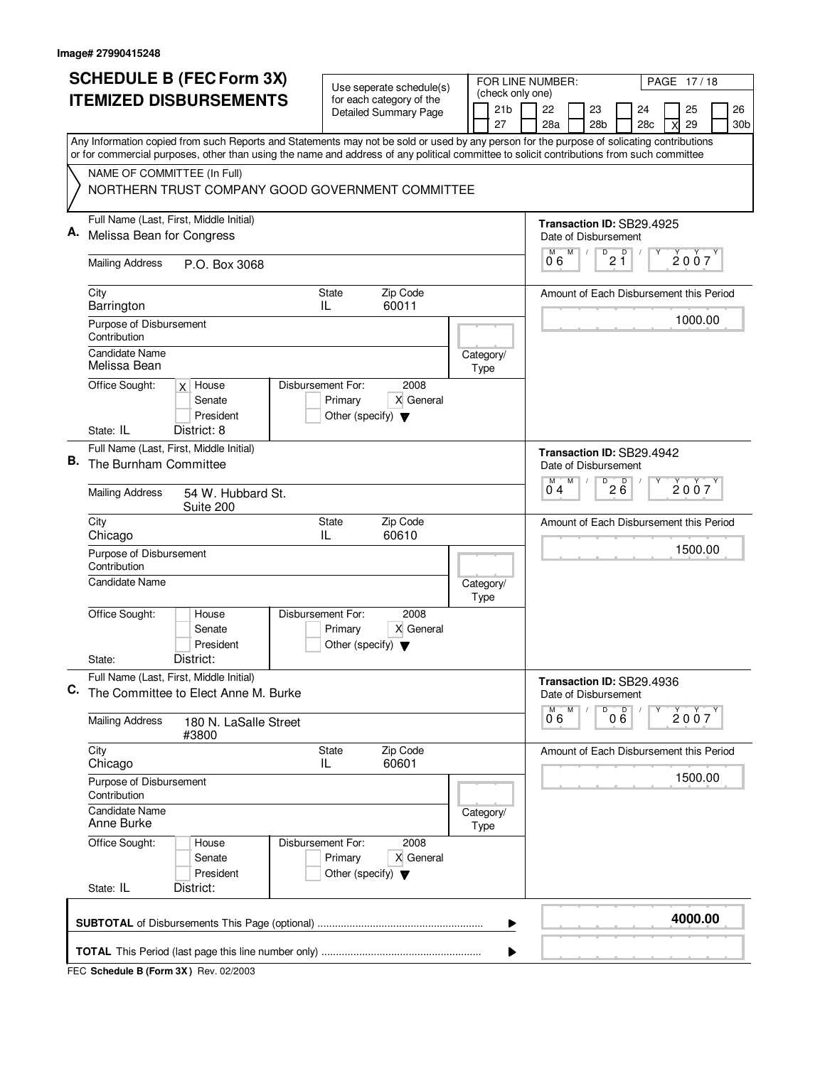|                               | <b>SCHEDULE B (FEC Form 3X)</b>                                                                                                                                                                                                                                                        |                                                                      | Use seperate schedule(s)                                 |  |  | FOR LINE NUMBER:                    |  |                                         |   |                 |                                                   |  | PAGE 17/18 |                 |
|-------------------------------|----------------------------------------------------------------------------------------------------------------------------------------------------------------------------------------------------------------------------------------------------------------------------------------|----------------------------------------------------------------------|----------------------------------------------------------|--|--|-------------------------------------|--|-----------------------------------------|---|-----------------|---------------------------------------------------|--|------------|-----------------|
| <b>ITEMIZED DISBURSEMENTS</b> |                                                                                                                                                                                                                                                                                        |                                                                      | for each category of the<br><b>Detailed Summary Page</b> |  |  | (check only one)<br>21 <sub>b</sub> |  | 22                                      |   | 23              | 24                                                |  | 25         | 26              |
|                               |                                                                                                                                                                                                                                                                                        |                                                                      |                                                          |  |  | 27                                  |  | 28a                                     |   | 28 <sub>b</sub> | 28c                                               |  | 29         | 30 <sub>b</sub> |
|                               | Any Information copied from such Reports and Statements may not be sold or used by any person for the purpose of solicating contributions<br>or for commercial purposes, other than using the name and address of any political committee to solicit contributions from such committee |                                                                      |                                                          |  |  |                                     |  |                                         |   |                 |                                                   |  |            |                 |
|                               | NAME OF COMMITTEE (In Full)                                                                                                                                                                                                                                                            |                                                                      |                                                          |  |  |                                     |  |                                         |   |                 |                                                   |  |            |                 |
|                               | NORTHERN TRUST COMPANY GOOD GOVERNMENT COMMITTEE                                                                                                                                                                                                                                       |                                                                      |                                                          |  |  |                                     |  |                                         |   |                 |                                                   |  |            |                 |
|                               | Full Name (Last, First, Middle Initial)                                                                                                                                                                                                                                                |                                                                      |                                                          |  |  |                                     |  |                                         |   |                 | Transaction ID: SB29.4925                         |  |            |                 |
| Α.                            | Melissa Bean for Congress                                                                                                                                                                                                                                                              |                                                                      |                                                          |  |  |                                     |  | Date of Disbursement<br>М               | M | D               | D                                                 |  |            |                 |
|                               | <b>Mailing Address</b><br>P.O. Box 3068                                                                                                                                                                                                                                                |                                                                      |                                                          |  |  |                                     |  | 06                                      |   |                 | 2 Ĭ                                               |  | 2007       |                 |
|                               | City<br>Barrington                                                                                                                                                                                                                                                                     | State<br>IL                                                          | Zip Code<br>60011                                        |  |  |                                     |  |                                         |   |                 | Amount of Each Disbursement this Period           |  |            |                 |
|                               | Purpose of Disbursement<br>Contribution                                                                                                                                                                                                                                                |                                                                      |                                                          |  |  |                                     |  |                                         |   |                 |                                                   |  | 1000.00    |                 |
|                               | <b>Candidate Name</b><br>Melissa Bean                                                                                                                                                                                                                                                  |                                                                      |                                                          |  |  | Category/<br>Type                   |  |                                         |   |                 |                                                   |  |            |                 |
|                               | Office Sought:<br>$x$ House<br>Senate<br>President                                                                                                                                                                                                                                     | Disbursement For:<br>Primary<br>Other (specify) $\blacktriangledown$ | 2008<br>X General                                        |  |  |                                     |  |                                         |   |                 |                                                   |  |            |                 |
|                               | District: 8<br>State: IL<br>Full Name (Last, First, Middle Initial)                                                                                                                                                                                                                    |                                                                      |                                                          |  |  |                                     |  |                                         |   |                 |                                                   |  |            |                 |
| В.                            | The Burnham Committee                                                                                                                                                                                                                                                                  |                                                                      |                                                          |  |  |                                     |  | Date of Disbursement<br>M               | M | D               | Transaction ID: SB29.4942                         |  |            |                 |
|                               | <b>Mailing Address</b><br>54 W. Hubbard St.<br>Suite 200                                                                                                                                                                                                                               |                                                                      |                                                          |  |  |                                     |  | $2\overline{6}$<br>2007<br>04           |   |                 |                                                   |  |            |                 |
|                               | City<br>Chicago                                                                                                                                                                                                                                                                        | <b>State</b><br>IL                                                   | Zip Code<br>60610                                        |  |  |                                     |  | Amount of Each Disbursement this Period |   |                 |                                                   |  |            |                 |
|                               | Purpose of Disbursement<br>Contribution                                                                                                                                                                                                                                                |                                                                      |                                                          |  |  |                                     |  | 1500.00                                 |   |                 |                                                   |  |            |                 |
|                               | Candidate Name                                                                                                                                                                                                                                                                         |                                                                      |                                                          |  |  | Category/<br>Type                   |  |                                         |   |                 |                                                   |  |            |                 |
|                               | Office Sought:<br>House<br>Senate<br>President                                                                                                                                                                                                                                         | Disbursement For:<br>Primary<br>Other (specify) $\blacktriangledown$ | 2008<br>X General                                        |  |  |                                     |  |                                         |   |                 |                                                   |  |            |                 |
|                               | District:<br>State:                                                                                                                                                                                                                                                                    |                                                                      |                                                          |  |  |                                     |  |                                         |   |                 |                                                   |  |            |                 |
| C.                            | Full Name (Last, First, Middle Initial)<br>The Committee to Elect Anne M. Burke                                                                                                                                                                                                        |                                                                      |                                                          |  |  |                                     |  |                                         |   |                 | Transaction ID: SB29.4936<br>Date of Disbursement |  |            |                 |
|                               | <b>Mailing Address</b><br>180 N. LaSalle Street<br>#3800                                                                                                                                                                                                                               |                                                                      |                                                          |  |  |                                     |  | 0 6                                     | M | D               | 000                                               |  | 2007       |                 |
|                               | City<br>Chicago                                                                                                                                                                                                                                                                        | State<br>IL                                                          | Zip Code<br>60601                                        |  |  |                                     |  |                                         |   |                 | Amount of Each Disbursement this Period           |  |            |                 |
|                               | Purpose of Disbursement<br>Contribution                                                                                                                                                                                                                                                |                                                                      |                                                          |  |  |                                     |  |                                         |   |                 |                                                   |  | 1500.00    |                 |
|                               | Candidate Name<br>Anne Burke                                                                                                                                                                                                                                                           |                                                                      |                                                          |  |  | Category/<br>Type                   |  |                                         |   |                 |                                                   |  |            |                 |
|                               | Office Sought:<br>House<br>Senate<br>President                                                                                                                                                                                                                                         | Disbursement For:<br>Primary<br>Other (specify) $\blacktriangledown$ | 2008<br>X General                                        |  |  |                                     |  |                                         |   |                 |                                                   |  |            |                 |
|                               | State: IL<br>District:                                                                                                                                                                                                                                                                 |                                                                      |                                                          |  |  |                                     |  |                                         |   |                 |                                                   |  |            |                 |
|                               |                                                                                                                                                                                                                                                                                        |                                                                      |                                                          |  |  | ▶                                   |  |                                         |   |                 |                                                   |  | 4000.00    |                 |
|                               |                                                                                                                                                                                                                                                                                        |                                                                      |                                                          |  |  |                                     |  |                                         |   |                 |                                                   |  |            |                 |